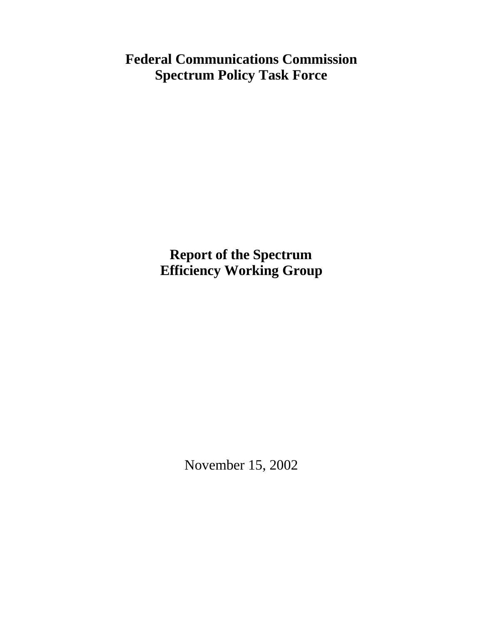# **Federal Communications Commission Spectrum Policy Task Force**

**Report of the Spectrum Efficiency Working Group**

November 15, 2002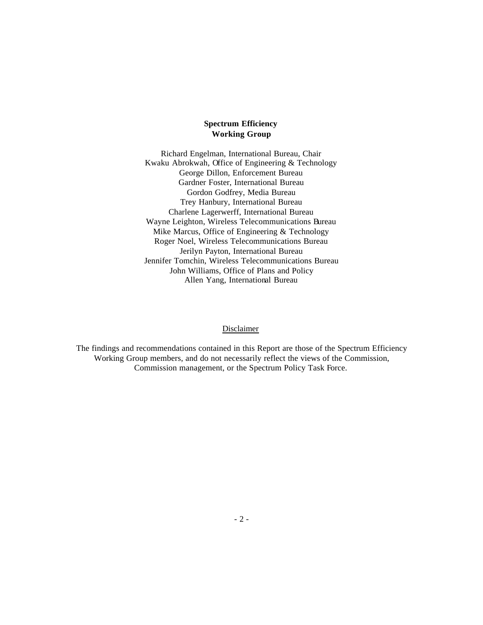# **Spectrum Efficiency Working Group**

Richard Engelman, International Bureau, Chair Kwaku Abrokwah, Office of Engineering & Technology George Dillon, Enforcement Bureau Gardner Foster, International Bureau Gordon Godfrey, Media Bureau Trey Hanbury, International Bureau Charlene Lagerwerff, International Bureau Wayne Leighton, Wireless Telecommunications Bureau Mike Marcus, Office of Engineering & Technology Roger Noel, Wireless Telecommunications Bureau Jerilyn Payton, International Bureau Jennifer Tomchin, Wireless Telecommunications Bureau John Williams, Office of Plans and Policy Allen Yang, International Bureau

#### Disclaimer

The findings and recommendations contained in this Report are those of the Spectrum Efficiency Working Group members, and do not necessarily reflect the views of the Commission, Commission management, or the Spectrum Policy Task Force.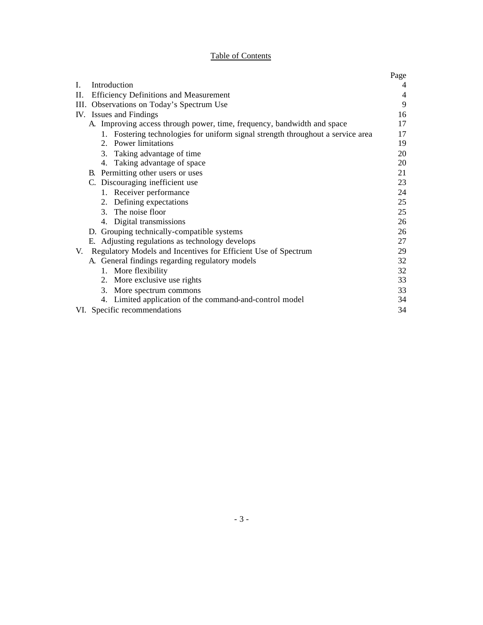# Table of Contents

|                                                                                 | Page |
|---------------------------------------------------------------------------------|------|
| Introduction<br>$\mathbf{L}$                                                    | 4    |
| П.<br><b>Efficiency Definitions and Measurement</b>                             | 4    |
| III. Observations on Today's Spectrum Use                                       | 9    |
| IV. Issues and Findings                                                         | 16   |
| A. Improving access through power, time, frequency, bandwidth and space         | 17   |
| 1. Fostering technologies for uniform signal strength throughout a service area | 17   |
| 2. Power limitations                                                            | 19   |
| 3. Taking advantage of time                                                     | 20   |
| 4. Taking advantage of space                                                    | 20   |
| B. Permitting other users or uses                                               | 21   |
| C. Discouraging inefficient use                                                 | 23   |
| 1. Receiver performance                                                         | 24   |
| 2. Defining expectations                                                        | 25   |
| 3. The noise floor                                                              | 25   |
| Digital transmissions<br>4.                                                     | 26   |
| D. Grouping technically-compatible systems                                      | 26   |
| E. Adjusting regulations as technology develops                                 | 27   |
| Regulatory Models and Incentives for Efficient Use of Spectrum<br>V.            | 29   |
| A. General findings regarding regulatory models                                 | 32   |
| 1. More flexibility                                                             | 32   |
| 2. More exclusive use rights                                                    | 33   |
| 3. More spectrum commons                                                        | 33   |
| 4. Limited application of the command-and-control model                         | 34   |
| VI. Specific recommendations                                                    | 34   |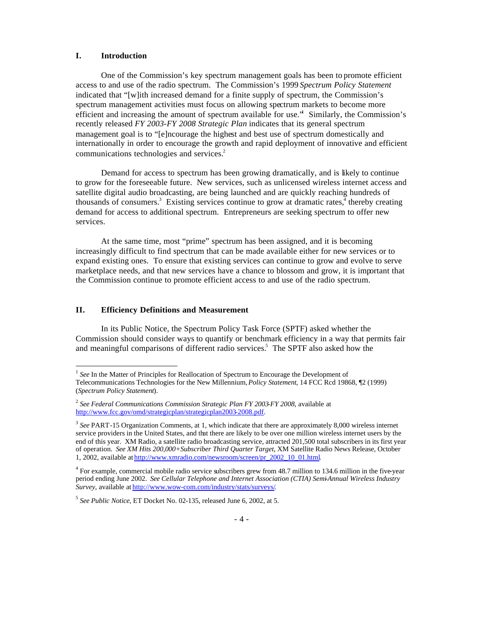#### **I. Introduction**

 $\overline{a}$ 

One of the Commission's key spectrum management goals has been to promote efficient access to and use of the radio spectrum. The Commission's 1999 *Spectrum Policy Statement*  indicated that "[w]ith increased demand for a finite supply of spectrum, the Commission's spectrum management activities must focus on allowing spectrum markets to become more efficient and increasing the amount of spectrum available for use.<sup>14</sup> Similarly, the Commission's recently released *FY 2003-FY 2008 Strategic Plan* indicates that its general spectrum management goal is to "[e]ncourage the highest and best use of spectrum domestically and internationally in order to encourage the growth and rapid deployment of innovative and efficient communications technologies and services.<sup>2</sup>

Demand for access to spectrum has been growing dramatically, and is likely to continue to grow for the foreseeable future. New services, such as unlicensed wireless internet access and satellite digital audio broadcasting, are being launched and are quickly reaching hundreds of thousands of consumers.<sup>3</sup> Existing services continue to grow at dramatic rates,<sup>4</sup> thereby creating demand for access to additional spectrum. Entrepreneurs are seeking spectrum to offer new services.

At the same time, most "prime" spectrum has been assigned, and it is becoming increasingly difficult to find spectrum that can be made available either for new services or to expand existing ones. To ensure that existing services can continue to grow and evolve to serve marketplace needs, and that new services have a chance to blossom and grow, it is important that the Commission continue to promote efficient access to and use of the radio spectrum.

# **II. Efficiency Definitions and Measurement**

In its Public Notice, the Spectrum Policy Task Force (SPTF) asked whether the Commission should consider ways to quantify or benchmark efficiency in a way that permits fair and meaningful comparisons of different radio services.<sup>5</sup> The SPTF also asked how the

<sup>&</sup>lt;sup>1</sup> See In the Matter of Principles for Reallocation of Spectrum to Encourage the Development of Telecommunications Technologies for the New Millennium, *Policy Statement*, 14 FCC Rcd 19868, ¶2 (1999) (*Spectrum Policy Statement*).

<sup>2</sup> *See Federal Communications Commission Strategic Plan FY 2003-FY 2008*, available at http://www.fcc.gov/omd/strategicplan/strategicplan2003-2008.pdf.

<sup>&</sup>lt;sup>3</sup> See PART-15 Organization Comments, at 1, which indicate that there are approximately 8,000 wireless internet service providers in the United States, and that there are likely to be over one million wireless internet users by the end of this year. XM Radio, a satellite radio broadcasting service, attracted 201,500 total subscribers in its first year of operation. *See XM Hits 200,000+Subscriber Third Quarter Target*, XM Satellite Radio News Release, October 1, 2002, available at http://www.xmradio.com/newsroom/screen/pr\_2002\_10\_01.html.

 $4$  For example, commercial mobile radio service subscribers grew from 48.7 million to 134.6 million in the five-year period ending June 2002. *See Cellular Telephone and Internet Association (CTIA) Semi-Annual Wireless Industry Survey*, available at http://www.wow-com.com/industry/stats/surveys/.

<sup>5</sup> *See Public Notice*, ET Docket No. 02-135, released June 6, 2002, at 5.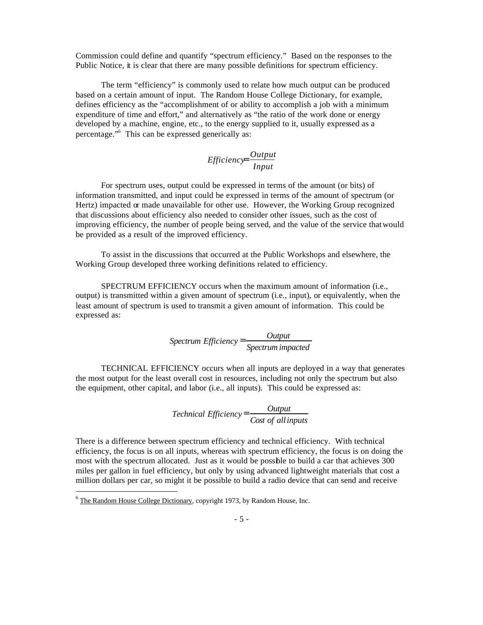Commission could define and quantify "spectrum efficiency." Based on the responses to the Public Notice, it is clear that there are many possible definitions for spectrum efficiency.

The term "efficiency" is commonly used to relate how much output can be produced based on a certain amount of input. The Random House College Dictionary, for example, defines efficiency as the "accomplishment of or ability to accomplish a job with a minimum expenditure of time and effort," and alternatively as "the ratio of the work done or energy developed by a machine, engine, etc., to the energy supplied to it, usually expressed as a percentage."<sup>6</sup> This can be expressed generically as:

# *Input Output Efficiency*<sup>=</sup>

For spectrum uses, output could be expressed in terms of the amount (or bits) of information transmitted, and input could be expressed in terms of the amount of spectrum (or Hertz) impacted or made unavailable for other use. However, the Working Group recognized that discussions about efficiency also needed to consider other issues, such as the cost of improving efficiency, the number of people being served, and the value of the service that would be provided as a result of the improved efficiency.

To assist in the discussions that occurred at the Public Workshops and elsewhere, the Working Group developed three working definitions related to efficiency.

SPECTRUM EFFICIENCY occurs when the maximum amount of information (i.e., output) is transmitted within a given amount of spectrum (i.e., input), or equivalently, when the least amount of spectrum is used to transmit a given amount of information. This could be expressed as:

> *Spectrum impacted Output Spectrum Efficiency* <sup>=</sup>

TECHNICAL EFFICIENCY occurs when all inputs are deployed in a way that generates the most output for the least overall cost in resources, including not only the spectrum but also the equipment, other capital, and labor (i.e., all inputs). This could be expressed as:

> *Cost of allinputs Output Technical Efficiency*<sup>=</sup>

There is a difference between spectrum efficiency and technical efficiency. With technical efficiency, the focus is on all inputs, whereas with spectrum efficiency, the focus is on doing the most with the spectrum allocated. Just as it would be possible to build a car that achieves 300 miles per gallon in fuel efficiency, but only by using advanced lightweight materials that cost a million dollars per car, so might it be possible to build a radio device that can send and receive

 $6$  The Random House College Dictionary, copyright 1973, by Random House, Inc.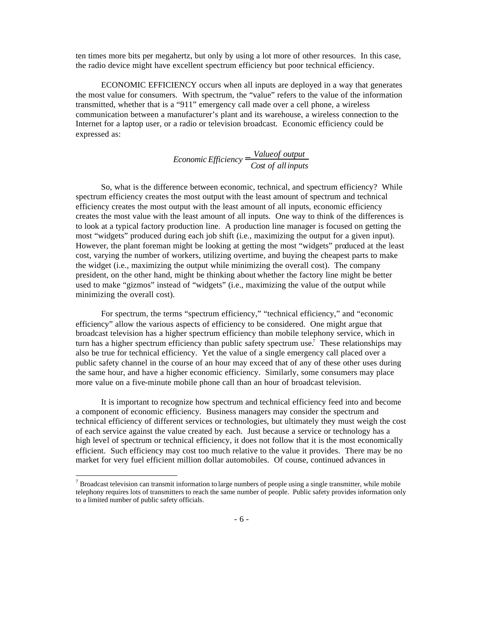ten times more bits per megahertz, but only by using a lot more of other resources. In this case, the radio device might have excellent spectrum efficiency but poor technical efficiency.

ECONOMIC EFFICIENCY occurs when all inputs are deployed in a way that generates the most value for consumers. With spectrum, the "value" refers to the value of the information transmitted, whether that is a "911" emergency call made over a cell phone, a wireless communication between a manufacturer's plant and its warehouse, a wireless connection to the Internet for a laptop user, or a radio or television broadcast. Economic efficiency could be expressed as:

# *Cost of allinputs Economic Efficiency* =  $\frac{Value of output}{2}$

So, what is the difference between economic, technical, and spectrum efficiency? While spectrum efficiency creates the most output with the least amount of spectrum and technical efficiency creates the most output with the least amount of all inputs, economic efficiency creates the most value with the least amount of all inputs. One way to think of the differences is to look at a typical factory production line. A production line manager is focused on getting the most "widgets" produced during each job shift (i.e., maximizing the output for a given input). However, the plant foreman might be looking at getting the most "widgets" produced at the least cost, varying the number of workers, utilizing overtime, and buying the cheapest parts to make the widget (i.e., maximizing the output while minimizing the overall cost). The company president, on the other hand, might be thinking about whether the factory line might be better used to make "gizmos" instead of "widgets" (i.e., maximizing the value of the output while minimizing the overall cost).

For spectrum, the terms "spectrum efficiency," "technical efficiency," and "economic efficiency" allow the various aspects of efficiency to be considered. One might argue that broadcast television has a higher spectrum efficiency than mobile telephony service, which in turn has a higher spectrum efficiency than public safety spectrum use.<sup>7</sup> These relationships may also be true for technical efficiency. Yet the value of a single emergency call placed over a public safety channel in the course of an hour may exceed that of any of these other uses during the same hour, and have a higher economic efficiency. Similarly, some consumers may place more value on a five-minute mobile phone call than an hour of broadcast television.

It is important to recognize how spectrum and technical efficiency feed into and become a component of economic efficiency. Business managers may consider the spectrum and technical efficiency of different services or technologies, but ultimately they must weigh the cost of each service against the value created by each. Just because a service or technology has a high level of spectrum or technical efficiency, it does not follow that it is the most economically efficient. Such efficiency may cost too much relative to the value it provides. There may be no market for very fuel efficient million dollar automobiles. Of course, continued advances in

<sup>&</sup>lt;sup>7</sup> Broadcast television can transmit information to large numbers of people using a single transmitter, while mobile telephony requires lots of transmitters to reach the same number of people. Public safety provides information only to a limited number of public safety officials.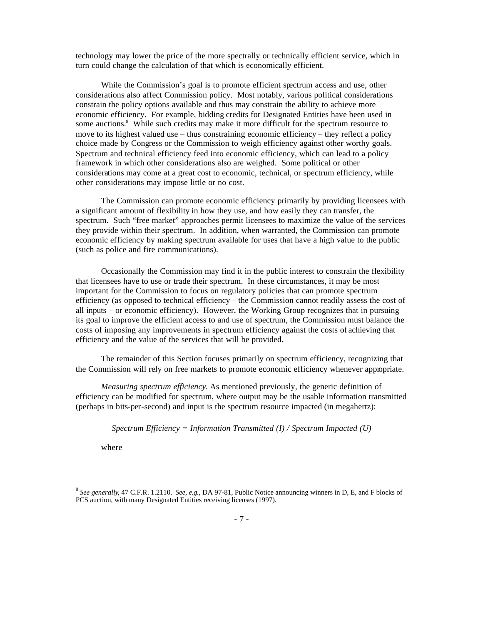technology may lower the price of the more spectrally or technically efficient service, which in turn could change the calculation of that which is economically efficient.

While the Commission's goal is to promote efficient spectrum access and use, other considerations also affect Commission policy. Most notably, various political considerations constrain the policy options available and thus may constrain the ability to achieve more economic efficiency. For example, bidding credits for Designated Entities have been used in some auctions.<sup>8</sup> While such credits may make it more difficult for the spectrum resource to move to its highest valued use – thus constraining economic efficiency – they reflect a policy choice made by Congress or the Commission to weigh efficiency against other worthy goals. Spectrum and technical efficiency feed into economic efficiency, which can lead to a policy framework in which other considerations also are weighed. Some political or other considerations may come at a great cost to economic, technical, or spectrum efficiency, while other considerations may impose little or no cost.

The Commission can promote economic efficiency primarily by providing licensees with a significant amount of flexibility in how they use, and how easily they can transfer, the spectrum. Such "free market" approaches permit licensees to maximize the value of the services they provide within their spectrum. In addition, when warranted, the Commission can promote economic efficiency by making spectrum available for uses that have a high value to the public (such as police and fire communications).

Occasionally the Commission may find it in the public interest to constrain the flexibility that licensees have to use or trade their spectrum. In these circumstances, it may be most important for the Commission to focus on regulatory policies that can promote spectrum efficiency (as opposed to technical efficiency – the Commission cannot readily assess the cost of all inputs – or economic efficiency). However, the Working Group recognizes that in pursuing its goal to improve the efficient access to and use of spectrum, the Commission must balance the costs of imposing any improvements in spectrum efficiency against the costs of achieving that efficiency and the value of the services that will be provided.

The remainder of this Section focuses primarily on spectrum efficiency, recognizing that the Commission will rely on free markets to promote economic efficiency whenever appropriate.

*Measuring spectrum efficiency.* As mentioned previously, the generic definition of efficiency can be modified for spectrum, where output may be the usable information transmitted (perhaps in bits-per-second) and input is the spectrum resource impacted (in megahertz):

*Spectrum Efficiency = Information Transmitted (I) / Spectrum Impacted (U)*

where

<sup>8</sup> *See generally*, 47 C.F.R. 1.2110. *See, e.g.*, DA 97-81, Public Notice announcing winners in D, E, and F blocks of PCS auction, with many Designated Entities receiving licenses (1997).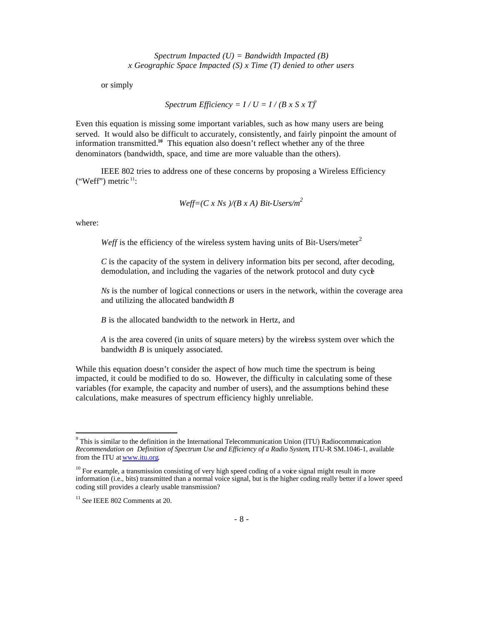*Spectrum Impacted (U) = Bandwidth Impacted (B) x Geographic Space Impacted (S) x Time (T) denied to other users*

or simply

*Spectrum Efficiency =*  $I / U = I / (B \times S \times T)^9$ 

Even this equation is missing some important variables, such as how many users are being served. It would also be difficult to accurately, consistently, and fairly pinpoint the amount of information transmitted.**<sup>10</sup>** This equation also doesn't reflect whether any of the three denominators (bandwidth, space, and time are more valuable than the others).

IEEE 802 tries to address one of these concerns by proposing a Wireless Efficiency ("Weff") metric  $11$ :

$$
Weff=(C x Ns)/(B x A) Bit-Users/m^2
$$

where:

 $\overline{a}$ 

*Weff* is the efficiency of the wireless system having units of Bit-Users/meter<sup>2</sup>

*C* is the capacity of the system in delivery information bits per second, after decoding, demodulation, and including the vagaries of the network protocol and duty cycle

*Ns* is the number of logical connections or users in the network, within the coverage area and utilizing the allocated bandwidth *B*

*B* is the allocated bandwidth to the network in Hertz, and

*A* is the area covered (in units of square meters) by the wireless system over which the bandwidth *B* is uniquely associated.

While this equation doesn't consider the aspect of how much time the spectrum is being impacted, it could be modified to do so. However, the difficulty in calculating some of these variables (for example, the capacity and number of users), and the assumptions behind these calculations, make measures of spectrum efficiency highly unreliable.

*<sup>9</sup>* This is similar to the definition in the International Telecommunication Union (ITU) Radiocommunication *Recommendation on Definition of Spectrum Use and Efficiency of a Radio System*, ITU-R SM.1046-1, available from the ITU at www.itu.org.

 $10$  For example, a transmission consisting of very high speed coding of a voice signal might result in more information (i.e., bits) transmitted than a normal voice signal, but is the higher coding really better if a lower speed coding still provides a clearly usable transmission?

<sup>11</sup> *See* IEEE 802 Comments at 20.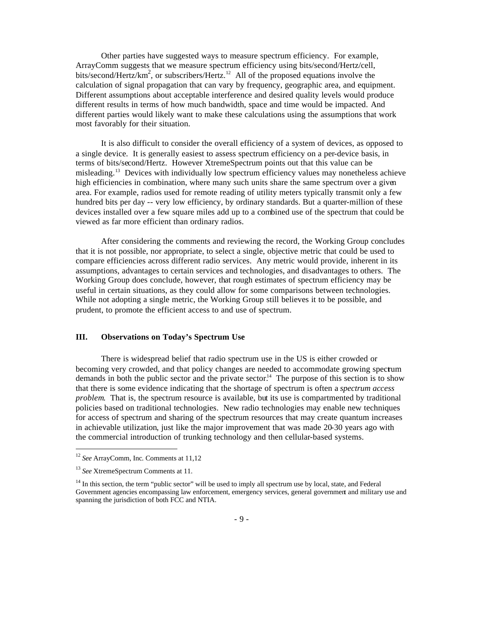Other parties have suggested ways to measure spectrum efficiency. For example, ArrayComm suggests that we measure spectrum efficiency using bits/second/Hertz/cell, bits/second/Hertz/km<sup>2</sup>, or subscribers/Hertz.<sup>12</sup> All of the proposed equations involve the calculation of signal propagation that can vary by frequency, geographic area, and equipment. Different assumptions about acceptable interference and desired quality levels would produce different results in terms of how much bandwidth, space and time would be impacted. And different parties would likely want to make these calculations using the assumptions that work most favorably for their situation.

It is also difficult to consider the overall efficiency of a system of devices, as opposed to a single device. It is generally easiest to assess spectrum efficiency on a per-device basis, in terms of bits/second/Hertz. However XtremeSpectrum points out that this value can be misleading.<sup>13</sup> Devices with individually low spectrum efficiency values may nonetheless achieve high efficiencies in combination, where many such units share the same spectrum over a given area. For example, radios used for remote reading of utility meters typically transmit only a few hundred bits per day -- very low efficiency, by ordinary standards. But a quarter-million of these devices installed over a few square miles add up to a combined use of the spectrum that could be viewed as far more efficient than ordinary radios.

After considering the comments and reviewing the record, the Working Group concludes that it is not possible, nor appropriate, to select a single, objective metric that could be used to compare efficiencies across different radio services. Any metric would provide, inherent in its assumptions, advantages to certain services and technologies, and disadvantages to others. The Working Group does conclude, however, that rough estimates of spectrum efficiency may be useful in certain situations, as they could allow for some comparisons between technologies. While not adopting a single metric, the Working Group still believes it to be possible, and prudent, to promote the efficient access to and use of spectrum.

# **III. Observations on Today's Spectrum Use**

There is widespread belief that radio spectrum use in the US is either crowded or becoming very crowded, and that policy changes are needed to accommodate growing spectrum demands in both the public sector and the private sector.<sup>14</sup> The purpose of this section is to show that there is some evidence indicating that the shortage of spectrum is often a *spectrum access problem*. That is, the spectrum resource is available, but its use is compartmented by traditional policies based on traditional technologies. New radio technologies may enable new techniques for access of spectrum and sharing of the spectrum resources that may create quantum increases in achievable utilization, just like the major improvement that was made 20-30 years ago with the commercial introduction of trunking technology and then cellular-based systems.

<sup>12</sup> *See* ArrayComm, Inc. Comments at 11,12

<sup>13</sup> *See* XtremeSpectrum Comments at 11.

<sup>&</sup>lt;sup>14</sup> In this section, the term "public sector" will be used to imply all spectrum use by local, state, and Federal Government agencies encompassing law enforcement, emergency services, general government and military use and spanning the jurisdiction of both FCC and NTIA.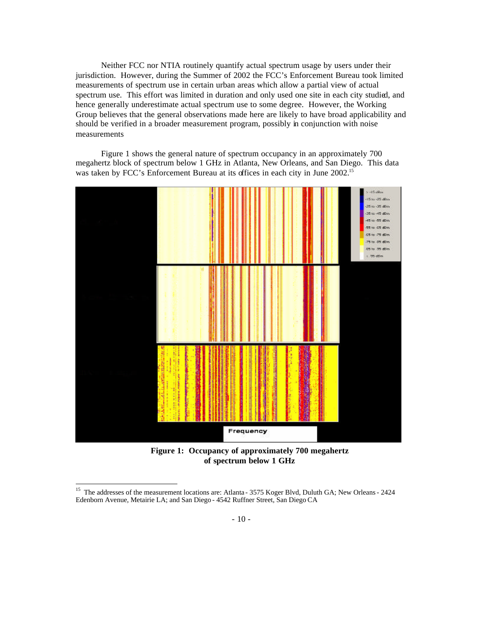Neither FCC nor NTIA routinely quantify actual spectrum usage by users under their jurisdiction. However, during the Summer of 2002 the FCC's Enforcement Bureau took limited measurements of spectrum use in certain urban areas which allow a partial view of actual spectrum use. This effort was limited in duration and only used one site in each city studied, and hence generally underestimate actual spectrum use to some degree. However, the Working Group believes that the general observations made here are likely to have broad applicability and should be verified in a broader measurement program, possibly in conjunction with noise measurements

Figure 1 shows the general nature of spectrum occupancy in an approximately 700 megahertz block of spectrum below 1 GHz in Atlanta, New Orleans, and San Diego. This data was taken by FCC's Enforcement Bureau at its offices in each city in June 2002.<sup>15</sup>



**Figure 1: Occupancy of approximately 700 megahertz of spectrum below 1 GHz**

<sup>&</sup>lt;sup>15</sup> The addresses of the measurement locations are: Atlanta - 3575 Koger Blvd, Duluth GA; New Orleans - 2424 Edenborn Avenue, Metairie LA; and San Diego - 4542 Ruffner Street, San Diego CA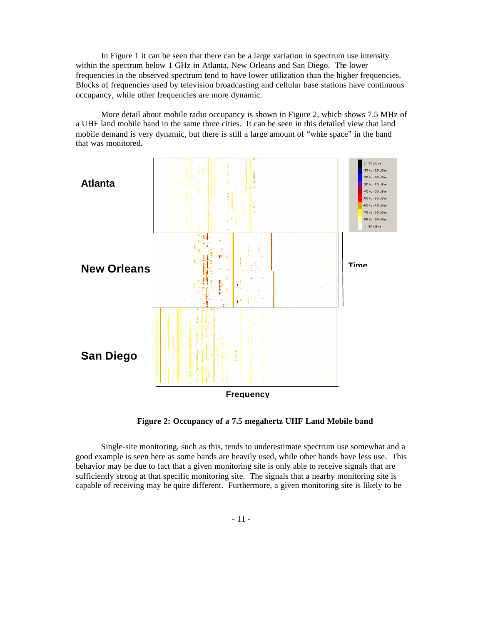In Figure 1 it can be seen that there can be a large variation in spectrum use intensity within the spectrum below 1 GHz in Atlanta, New Orleans and San Diego. The lower frequencies in the observed spectrum tend to have lower utilization than the higher frequencies. Blocks of frequencies used by television broadcasting and cellular base stations have continuous occupancy, while other frequencies are more dynamic.

More detail about mobile radio occupancy is shown in Figure 2, which shows 7.5 MHz of a UHF land mobile band in the same three cities. It can be seen in this detailed view that land mobile demand is very dynamic, but there is still a large amount of "white space" in the band that was monitored.



**Figure 2: Occupancy of a 7.5 megahertz UHF Land Mobile band**

Single-site monitoring, such as this, tends to underestimate spectrum use somewhat and a good example is seen here as some bands are heavily used, while other bands have less use. This behavior may be due to fact that a given monitoring site is only able to receive signals that are sufficiently strong at that specific monitoring site. The signals that a nearby monitoring site is capable of receiving may be quite different. Furthermore, a given monitoring site is likely to be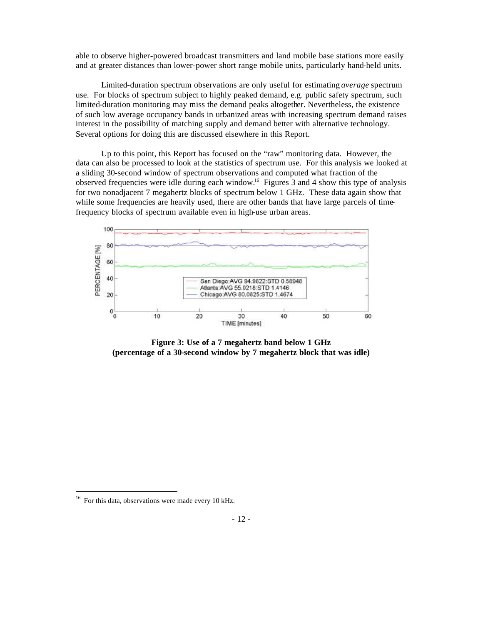able to observe higher-powered broadcast transmitters and land mobile base stations more easily and at greater distances than lower-power short range mobile units, particularly hand-held units.

Limited-duration spectrum observations are only useful for estimating *average* spectrum use. For blocks of spectrum subject to highly peaked demand, e.g. public safety spectrum, such limited-duration monitoring may miss the demand peaks altogether. Nevertheless, the existence of such low average occupancy bands in urbanized areas with increasing spectrum demand raises interest in the possibility of matching supply and demand better with alternative technology. Several options for doing this are discussed elsewhere in this Report.

Up to this point, this Report has focused on the "raw" monitoring data. However, the data can also be processed to look at the statistics of spectrum use. For this analysis we looked at a sliding 30-second window of spectrum observations and computed what fraction of the observed frequencies were idle during each window.<sup>16</sup> Figures 3 and 4 show this type of analysis for two nonadjacent 7 megahertz blocks of spectrum below 1 GHz. These data again show that while some frequencies are heavily used, there are other bands that have large parcels of timefrequency blocks of spectrum available even in high-use urban areas.



**Figure 3: Use of a 7 megahertz band below 1 GHz (percentage of a 30-second window by 7 megahertz block that was idle)**

 $16$  For this data, observations were made every 10 kHz.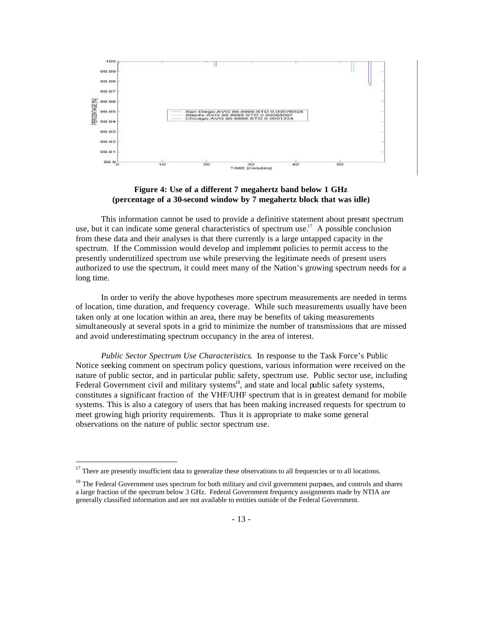

# **Figure 4: Use of a different 7 megahertz band below 1 GHz (percentage of a 30-second window by 7 megahertz block that was idle)**

This information cannot be used to provide a definitive statement about present spectrum use, but it can indicate some general characteristics of spectrum use.<sup>17</sup> A possible conclusion from these data and their analyses is that there currently is a large untapped capacity in the spectrum. If the Commission would develop and implement policies to permit access to the presently underutilized spectrum use while preserving the legitimate needs of present users authorized to use the spectrum, it could meet many of the Nation's growing spectrum needs for a long time.

In order to verify the above hypotheses more spectrum measurements are needed in terms of location, time duration, and frequency coverage. While such measurements usually have been taken only at one location within an area, there may be benefits of taking measurements simultaneously at several spots in a grid to minimize the number of transmissions that are missed and avoid underestimating spectrum occupancy in the area of interest.

*Public Sector Spectrum Use Characteristics*. In response to the Task Force's Public Notice seeking comment on spectrum policy questions, various information were received on the nature of public sector, and in particular public safety, spectrum use. Public sector use, including Federal Government civil and military systems<sup>18</sup>, and state and local public safety systems, constitutes a significant fraction of the VHF/UHF spectrum that is in greatest demand for mobile systems. This is also a category of users that has been making increased requests for spectrum to meet growing high priority requirements. Thus it is appropriate to make some general observations on the nature of public sector spectrum use.

 $17$ There are presently insufficient data to generalize these observations to all frequencies or to all locations.

<sup>&</sup>lt;sup>18</sup> The Federal Government uses spectrum for both military and civil government purposes, and controls and shares a large fraction of the spectrum below 3 GHz. Federal Government frequency assignments made by NTIA are generally classified information and are not available to entities outside of the Federal Government.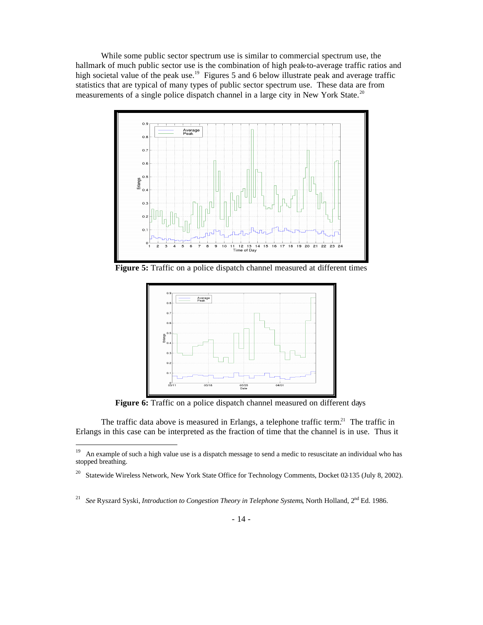While some public sector spectrum use is similar to commercial spectrum use, the hallmark of much public sector use is the combination of high peak-to-average traffic ratios and high societal value of the peak use.<sup>19</sup> Figures 5 and 6 below illustrate peak and average traffic statistics that are typical of many types of public sector spectrum use. These data are from measurements of a single police dispatch channel in a large city in New York State.<sup>20</sup>



**Figure 5:** Traffic on a police dispatch channel measured at different times



**Figure 6:** Traffic on a police dispatch channel measured on different days

The traffic data above is measured in Erlangs, a telephone traffic term.<sup>21</sup> The traffic in Erlangs in this case can be interpreted as the fraction of time that the channel is in use. Thus it

<sup>19</sup> <sup>19</sup> An example of such a high value use is a dispatch message to send a medic to resuscitate an individual who has stopped breathing.

<sup>&</sup>lt;sup>20</sup> Statewide Wireless Network, New York State Office for Technology Comments, Docket 02-135 (July 8, 2002).

<sup>21</sup> *See* Ryszard Syski, *Introduction to Congestion Theory in Telephone Systems*, North Holland, 2nd Ed. 1986.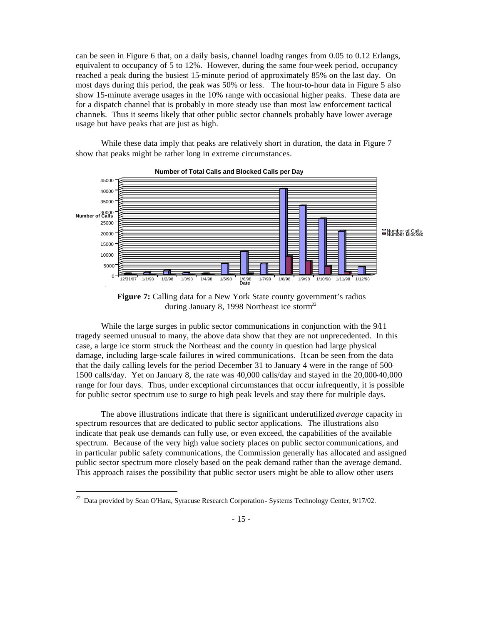can be seen in Figure 6 that, on a daily basis, channel loading ranges from 0.05 to 0.12 Erlangs, equivalent to occupancy of 5 to 12%. However, during the same four-week period, occupancy reached a peak during the busiest 15-minute period of approximately 85% on the last day. On most days during this period, the peak was 50% or less. The hour-to-hour data in Figure 5 also show 15-minute average usages in the 10% range with occasional higher peaks. These data are for a dispatch channel that is probably in more steady use than most law enforcement tactical channels. Thus it seems likely that other public sector channels probably have lower average usage but have peaks that are just as high.

While these data imply that peaks are relatively short in duration, the data in Figure 7 show that peaks might be rather long in extreme circumstances.



**Number of Total Calls and Blocked Calls per Day**



While the large surges in public sector communications in conjunction with the 9/11 tragedy seemed unusual to many, the above data show that they are not unprecedented. In this case, a large ice storm struck the Northeast and the county in question had large physical damage, including large-scale failures in wired communications. It can be seen from the data that the daily calling levels for the period December 31 to January 4 were in the range of 500- 1500 calls/day. Yet on January 8, the rate was 40,000 calls/day and stayed in the 20,000-40,000 range for four days. Thus, under exceptional circumstances that occur infrequently, it is possible for public sector spectrum use to surge to high peak levels and stay there for multiple days.

The above illustrations indicate that there is significant underutilized *average* capacity in spectrum resources that are dedicated to public sector applications. The illustrations also indicate that peak use demands can fully use, or even exceed, the capabilities of the available spectrum. Because of the very high value society places on public sector communications, and in particular public safety communications, the Commission generally has allocated and assigned public sector spectrum more closely based on the peak demand rather than the average demand. This approach raises the possibility that public sector users might be able to allow other users

 $22$  Data provided by Sean O'Hara, Syracuse Research Corporation - Systems Technology Center, 9/17/02.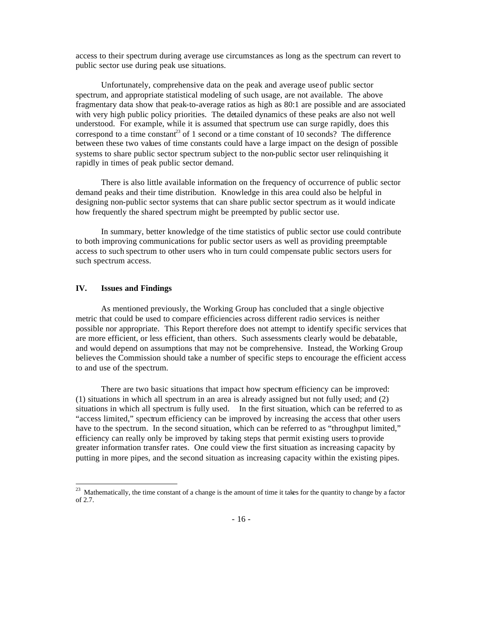access to their spectrum during average use circumstances as long as the spectrum can revert to public sector use during peak use situations.

Unfortunately, comprehensive data on the peak and average use of public sector spectrum, and appropriate statistical modeling of such usage, are not available. The above fragmentary data show that peak-to-average ratios as high as 80:1 are possible and are associated with very high public policy priorities. The detailed dynamics of these peaks are also not well understood. For example, while it is assumed that spectrum use can surge rapidly, does this correspond to a time constant<sup>23</sup> of 1 second or a time constant of 10 seconds? The difference between these two values of time constants could have a large impact on the design of possible systems to share public sector spectrum subject to the non-public sector user relinquishing it rapidly in times of peak public sector demand.

There is also little available information on the frequency of occurrence of public sector demand peaks and their time distribution. Knowledge in this area could also be helpful in designing non-public sector systems that can share public sector spectrum as it would indicate how frequently the shared spectrum might be preempted by public sector use.

In summary, better knowledge of the time statistics of public sector use could contribute to both improving communications for public sector users as well as providing preemptable access to such spectrum to other users who in turn could compensate public sectors users for such spectrum access.

#### **IV. Issues and Findings**

 $\overline{a}$ 

As mentioned previously, the Working Group has concluded that a single objective metric that could be used to compare efficiencies across different radio services is neither possible nor appropriate. This Report therefore does not attempt to identify specific services that are more efficient, or less efficient, than others. Such assessments clearly would be debatable, and would depend on assumptions that may not be comprehensive. Instead, the Working Group believes the Commission should take a number of specific steps to encourage the efficient access to and use of the spectrum.

There are two basic situations that impact how spectrum efficiency can be improved: (1) situations in which all spectrum in an area is already assigned but not fully used; and (2) situations in which all spectrum is fully used. In the first situation, which can be referred to as "access limited," spectrum efficiency can be improved by increasing the access that other users have to the spectrum. In the second situation, which can be referred to as "throughput limited," efficiency can really only be improved by taking steps that permit existing users to provide greater information transfer rates. One could view the first situation as increasing capacity by putting in more pipes, and the second situation as increasing capacity within the existing pipes.

 $23$  Mathematically, the time constant of a change is the amount of time it takes for the quantity to change by a factor of 2.7.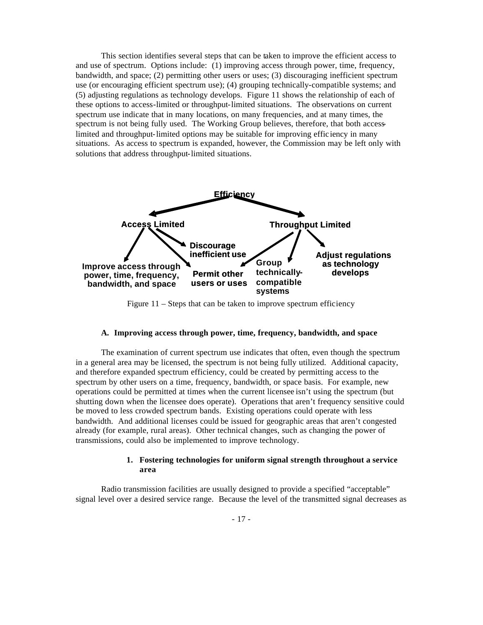This section identifies several steps that can be taken to improve the efficient access to and use of spectrum. Options include: (1) improving access through power, time, frequency, bandwidth, and space; (2) permitting other users or uses; (3) discouraging inefficient spectrum use (or encouraging efficient spectrum use); (4) grouping technically-compatible systems; and (5) adjusting regulations as technology develops. Figure 11 shows the relationship of each of these options to access-limited or throughput-limited situations. The observations on current spectrum use indicate that in many locations, on many frequencies, and at many times, the spectrum is not being fully used. The Working Group believes, therefore, that both accesslimited and throughput-limited options may be suitable for improving effic iency in many situations. As access to spectrum is expanded, however, the Commission may be left only with solutions that address throughput-limited situations.



Figure 11 – Steps that can be taken to improve spectrum efficiency

#### **A. Improving access through power, time, frequency, bandwidth, and space**

The examination of current spectrum use indicates that often, even though the spectrum in a general area may be licensed, the spectrum is not being fully utilized. Additional capacity, and therefore expanded spectrum efficiency, could be created by permitting access to the spectrum by other users on a time, frequency, bandwidth, or space basis. For example, new operations could be permitted at times when the current licensee isn't using the spectrum (but shutting down when the licensee does operate). Operations that aren't frequency sensitive could be moved to less crowded spectrum bands. Existing operations could operate with less bandwidth. And additional licenses could be issued for geographic areas that aren't congested already (for example, rural areas). Other technical changes, such as changing the power of transmissions, could also be implemented to improve technology.

## **1. Fostering technologies for uniform signal strength throughout a service area**

Radio transmission facilities are usually designed to provide a specified "acceptable" signal level over a desired service range. Because the level of the transmitted signal decreases as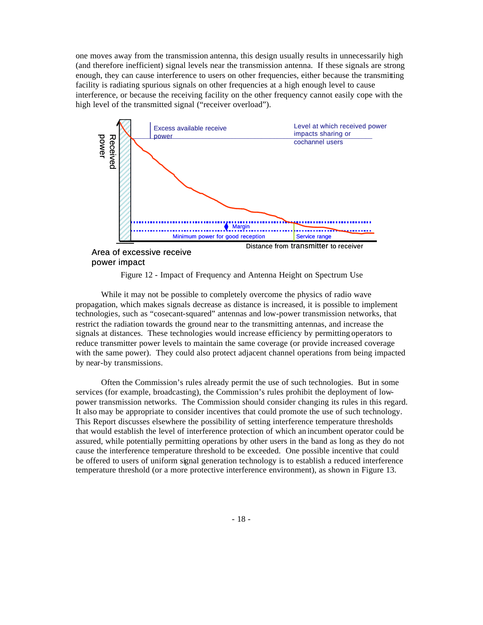one moves away from the transmission antenna, this design usually results in unnecessarily high (and therefore inefficient) signal levels near the transmission antenna. If these signals are strong enough, they can cause interference to users on other frequencies, either because the transmitting facility is radiating spurious signals on other frequencies at a high enough level to cause interference, or because the receiving facility on the other frequency cannot easily cope with the high level of the transmitted signal ("receiver overload").



power impact

Figure 12 - Impact of Frequency and Antenna Height on Spectrum Use

While it may not be possible to completely overcome the physics of radio wave propagation, which makes signals decrease as distance is increased, it is possible to implement technologies, such as "cosecant-squared" antennas and low-power transmission networks, that restrict the radiation towards the ground near to the transmitting antennas, and increase the signals at distances. These technologies would increase efficiency by permitting operators to reduce transmitter power levels to maintain the same coverage (or provide increased coverage with the same power). They could also protect adjacent channel operations from being impacted by near-by transmissions.

Often the Commission's rules already permit the use of such technologies. But in some services (for example, broadcasting), the Commission's rules prohibit the deployment of lowpower transmission networks. The Commission should consider changing its rules in this regard. It also may be appropriate to consider incentives that could promote the use of such technology. This Report discusses elsewhere the possibility of setting interference temperature thresholds that would establish the level of interference protection of which an incumbent operator could be assured, while potentially permitting operations by other users in the band as long as they do not cause the interference temperature threshold to be exceeded. One possible incentive that could be offered to users of uniform signal generation technology is to establish a reduced interference temperature threshold (or a more protective interference environment), as shown in Figure 13.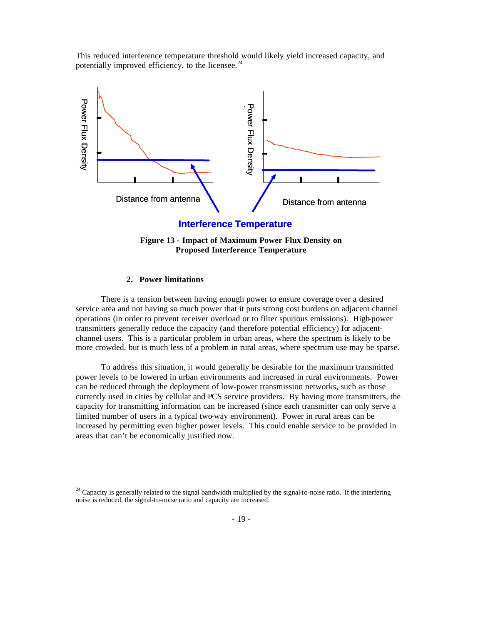This reduced interference temperature threshold would likely yield increased capacity, and potentially improved efficiency, to the licensee. $^{24}$ 





## **2. Power limitations**

 $\overline{a}$ 

There is a tension between having enough power to ensure coverage over a desired service area and not having so much power that it puts strong cost burdens on adjacent channel operations (in order to prevent receiver overload or to filter spurious emissions). High-power transmitters generally reduce the capacity (and therefore potential efficiency) for adjacentchannel users. This is a particular problem in urban areas, where the spectrum is likely to be more crowded, but is much less of a problem in rural areas, where spectrum use may be sparse.

To address this situation, it would generally be desirable for the maximum transmitted power levels to be lowered in urban environments and increased in rural environments. Power can be reduced through the deployment of low-power transmission networks, such as those currently used in cities by cellular and PCS service providers. By having more transmitters, the capacity for transmitting information can be increased (since each transmitter can only serve a limited number of users in a typical two-way environment). Power in rural areas can be increased by permitting even higher power levels. This could enable service to be provided in areas that can't be economically justified now.

<sup>&</sup>lt;sup>24</sup> Capacity is generally related to the signal bandwidth multiplied by the signal-to-noise ratio. If the interfering noise is reduced, the signal-to-noise ratio and capacity are increased.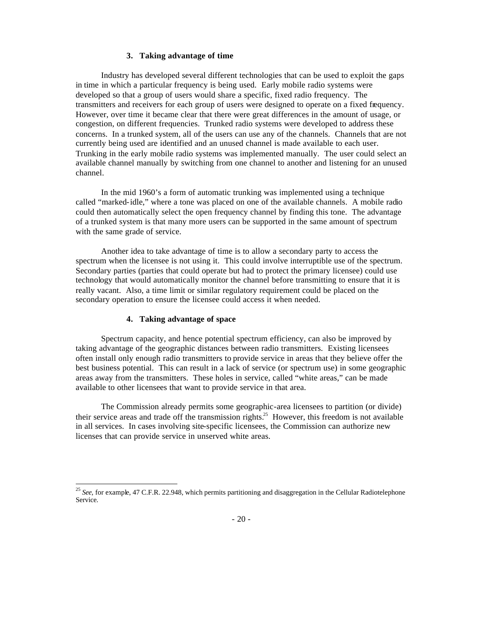#### **3. Taking advantage of time**

Industry has developed several different technologies that can be used to exploit the gaps in time in which a particular frequency is being used. Early mobile radio systems were developed so that a group of users would share a specific, fixed radio frequency. The transmitters and receivers for each group of users were designed to operate on a fixed frequency. However, over time it became clear that there were great differences in the amount of usage, or congestion, on different frequencies. Trunked radio systems were developed to address these concerns. In a trunked system, all of the users can use any of the channels. Channels that are not currently being used are identified and an unused channel is made available to each user. Trunking in the early mobile radio systems was implemented manually. The user could select an available channel manually by switching from one channel to another and listening for an unused channel.

In the mid 1960's a form of automatic trunking was implemented using a technique called "marked-idle," where a tone was placed on one of the available channels. A mobile radio could then automatically select the open frequency channel by finding this tone. The advantage of a trunked system is that many more users can be supported in the same amount of spectrum with the same grade of service.

Another idea to take advantage of time is to allow a secondary party to access the spectrum when the licensee is not using it. This could involve interruptible use of the spectrum. Secondary parties (parties that could operate but had to protect the primary licensee) could use technology that would automatically monitor the channel before transmitting to ensure that it is really vacant. Also, a time limit or similar regulatory requirement could be placed on the secondary operation to ensure the licensee could access it when needed.

# **4. Taking advantage of space**

 $\overline{a}$ 

Spectrum capacity, and hence potential spectrum efficiency, can also be improved by taking advantage of the geographic distances between radio transmitters. Existing licensees often install only enough radio transmitters to provide service in areas that they believe offer the best business potential. This can result in a lack of service (or spectrum use) in some geographic areas away from the transmitters. These holes in service, called "white areas," can be made available to other licensees that want to provide service in that area.

The Commission already permits some geographic-area licensees to partition (or divide) their service areas and trade off the transmission rights.<sup>25</sup> However, this freedom is not available in all services. In cases involving site-specific licensees, the Commission can authorize new licenses that can provide service in unserved white areas.

<sup>25</sup> *See*, for example, 47 C.F.R. 22.948, which permits partitioning and disaggregation in the Cellular Radiotelephone Service.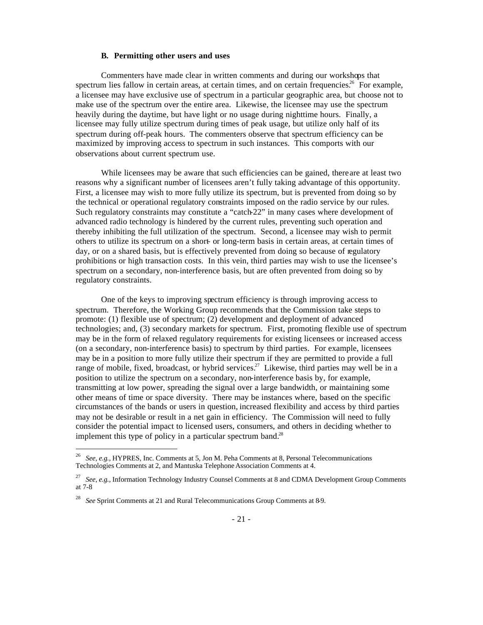#### **B. Permitting other users and uses**

Commenters have made clear in written comments and during our workshops that spectrum lies fallow in certain areas, at certain times, and on certain frequencies.<sup>26</sup> For example, a licensee may have exclusive use of spectrum in a particular geographic area, but choose not to make use of the spectrum over the entire area. Likewise, the licensee may use the spectrum heavily during the daytime, but have light or no usage during nighttime hours. Finally, a licensee may fully utilize spectrum during times of peak usage, but utilize only half of its spectrum during off-peak hours. The commenters observe that spectrum efficiency can be maximized by improving access to spectrum in such instances. This comports with our observations about current spectrum use.

While licensees may be aware that such efficiencies can be gained, there are at least two reasons why a significant number of licensees aren't fully taking advantage of this opportunity. First, a licensee may wish to more fully utilize its spectrum, but is prevented from doing so by the technical or operational regulatory constraints imposed on the radio service by our rules. Such regulatory constraints may constitute a "catch-22" in many cases where development of advanced radio technology is hindered by the current rules, preventing such operation and thereby inhibiting the full utilization of the spectrum. Second, a licensee may wish to permit others to utilize its spectrum on a short- or long-term basis in certain areas, at certain times of day, or on a shared basis, but is effectively prevented from doing so because of regulatory prohibitions or high transaction costs. In this vein, third parties may wish to use the licensee's spectrum on a secondary, non-interference basis, but are often prevented from doing so by regulatory constraints.

One of the keys to improving spectrum efficiency is through improving access to spectrum. Therefore, the Working Group recommends that the Commission take steps to promote: (1) flexible use of spectrum; (2) development and deployment of advanced technologies; and, (3) secondary markets for spectrum. First, promoting flexible use of spectrum may be in the form of relaxed regulatory requirements for existing licensees or increased access (on a secondary, non-interference basis) to spectrum by third parties. For example, licensees may be in a position to more fully utilize their spectrum if they are permitted to provide a full range of mobile, fixed, broadcast, or hybrid services.<sup>27</sup> Likewise, third parties may well be in a position to utilize the spectrum on a secondary, non-interference basis by, for example, transmitting at low power, spreading the signal over a large bandwidth, or maintaining some other means of time or space diversity. There may be instances where, based on the specific circumstances of the bands or users in question, increased flexibility and access by third parties may not be desirable or result in a net gain in efficiency. The Commission will need to fully consider the potential impact to licensed users, consumers, and others in deciding whether to implement this type of policy in a particular spectrum band.<sup>28</sup>

 26 *See, e.g.,* HYPRES, Inc. Comments at 5, Jon M. Peha Comments at 8, Personal Telecommunications Technologies Comments at 2, and Mantuska Telephone Association Comments at 4.

<sup>27</sup> *See, e.g.,* Information Technology Industry Counsel Comments at 8 and CDMA Development Group Comments at 7-8

<sup>28</sup> *See* Sprint Comments at 21 and Rural Telecommunications Group Comments at 8-9.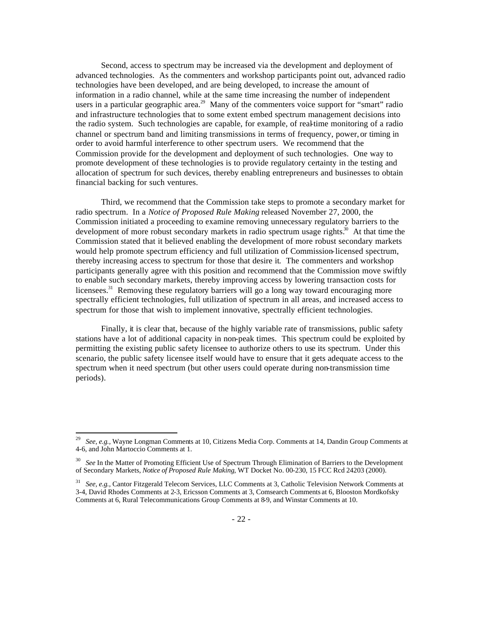Second, access to spectrum may be increased via the development and deployment of advanced technologies. As the commenters and workshop participants point out, advanced radio technologies have been developed, and are being developed, to increase the amount of information in a radio channel, while at the same time increasing the number of independent users in a particular geographic area.<sup>29</sup> Many of the commenters voice support for "smart" radio and infrastructure technologies that to some extent embed spectrum management decisions into the radio system. Such technologies are capable, for example, of real-time monitoring of a radio channel or spectrum band and limiting transmissions in terms of frequency, power, or timing in order to avoid harmful interference to other spectrum users. We recommend that the Commission provide for the development and deployment of such technologies. One way to promote development of these technologies is to provide regulatory certainty in the testing and allocation of spectrum for such devices, thereby enabling entrepreneurs and businesses to obtain financial backing for such ventures.

Third, we recommend that the Commission take steps to promote a secondary market for radio spectrum. In a *Notice of Proposed Rule Making* released November 27, 2000, the Commission initiated a proceeding to examine removing unnecessary regulatory barriers to the development of more robust secondary markets in radio spectrum usage rights.<sup>30</sup> At that time the Commission stated that it believed enabling the development of more robust secondary markets would help promote spectrum efficiency and full utilization of Commission-licensed spectrum, thereby increasing access to spectrum for those that desire it. The commenters and workshop participants generally agree with this position and recommend that the Commission move swiftly to enable such secondary markets, thereby improving access by lowering transaction costs for licensees.<sup>31</sup> Removing these regulatory barriers will go a long way toward encouraging more spectrally efficient technologies, full utilization of spectrum in all areas, and increased access to spectrum for those that wish to implement innovative, spectrally efficient technologies.

Finally, it is clear that, because of the highly variable rate of transmissions, public safety stations have a lot of additional capacity in non-peak times. This spectrum could be exploited by permitting the existing public safety licensee to authorize others to use its spectrum. Under this scenario, the public safety licensee itself would have to ensure that it gets adequate access to the spectrum when it need spectrum (but other users could operate during non-transmission time periods).

<sup>29</sup> *See, e.g.,* Wayne Longman Comments at 10, Citizens Media Corp. Comments at 14, Dandin Group Comments at 4-6, and John Martoccio Comments at 1.

<sup>30</sup> *See* In the Matter of Promoting Efficient Use of Spectrum Through Elimination of Barriers to the Development of Secondary Markets, *Notice of Proposed Rule Making*, WT Docket No. 00-230, 15 FCC Rcd 24203 (2000).

<sup>31</sup> *See, e.g.,* Cantor Fitzgerald Telecom Services, LLC Comments at 3, Catholic Television Network Comments at 3-4, David Rhodes Comments at 2-3, Ericsson Comments at 3, Comsearch Comments at 6, Blooston Mordkofsky Comments at 6, Rural Telecommunications Group Comments at 8-9, and Winstar Comments at 10.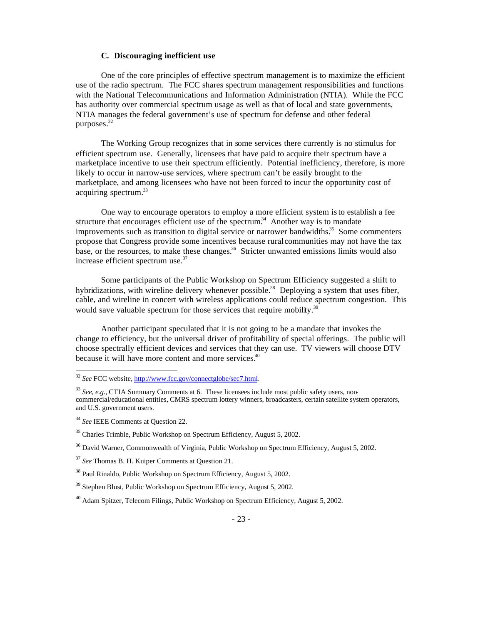#### **C. Discouraging inefficient use**

One of the core principles of effective spectrum management is to maximize the efficient use of the radio spectrum. The FCC shares spectrum management responsibilities and functions with the National Telecommunications and Information Administration (NTIA). While the FCC has authority over commercial spectrum usage as well as that of local and state governments, NTIA manages the federal government's use of spectrum for defense and other federal purposes.<sup>32</sup>

The Working Group recognizes that in some services there currently is no stimulus for efficient spectrum use. Generally, licensees that have paid to acquire their spectrum have a marketplace incentive to use their spectrum efficiently. Potential inefficiency, therefore, is more likely to occur in narrow-use services, where spectrum can't be easily brought to the marketplace, and among licensees who have not been forced to incur the opportunity cost of acquiring spectrum.<sup>33</sup>

One way to encourage operators to employ a more efficient system is to establish a fee structure that encourages efficient use of the spectrum.<sup>34</sup> Another way is to mandate improvements such as transition to digital service or narrower bandwidths.<sup>35</sup> Some commenters propose that Congress provide some incentives because rural communities may not have the tax base, or the resources, to make these changes.<sup>36</sup> Stricter unwanted emissions limits would also increase efficient spectrum use.<sup>37</sup>

Some participants of the Public Workshop on Spectrum Efficiency suggested a shift to hybridizations, with wireline delivery whenever possible.<sup>38</sup> Deploying a system that uses fiber, cable, and wireline in concert with wireless applications could reduce spectrum congestion. This would save valuable spectrum for those services that require mobility.<sup>39</sup>

Another participant speculated that it is not going to be a mandate that invokes the change to efficiency, but the universal driver of profitability of special offerings. The public will choose spectrally efficient devices and services that they can use. TV viewers will choose DTV because it will have more content and more services.<sup>40</sup>

<sup>32</sup> *See* FCC website, http://www.fcc.gov/connectglobe/sec7.html.

<sup>33</sup> *See, e.g.,* CTIA Summary Comments at 6. These licensees include most public safety users, noncommercial/educational entities, CMRS spectrum lottery winners, broadcasters, certain satellite system operators, and U.S. government users.

<sup>34</sup> *See* IEEE Comments at Question 22.

<sup>&</sup>lt;sup>35</sup> Charles Trimble, Public Workshop on Spectrum Efficiency, August 5, 2002.

<sup>&</sup>lt;sup>36</sup> David Warner, Commonwealth of Virginia, Public Workshop on Spectrum Efficiency, August 5, 2002.

<sup>37</sup> *See* Thomas B. H. Kuiper Comments at Question 21.

<sup>38</sup> Paul Rinaldo, Public Workshop on Spectrum Efficiency, August 5, 2002.

 $39$  Stephen Blust, Public Workshop on Spectrum Efficiency, August 5, 2002.

 $^{40}$  Adam Spitzer, Telecom Filings, Public Workshop on Spectrum Efficiency, August 5, 2002.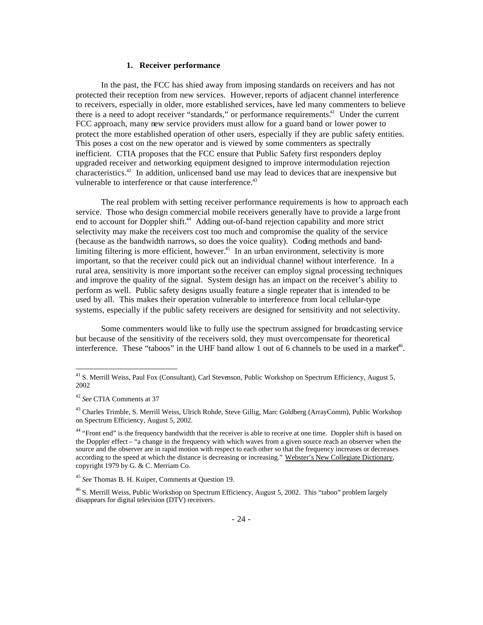#### **1. Receiver performance**

In the past, the FCC has shied away from imposing standards on receivers and has not protected their reception from new services. However, reports of adjacent channel interference to receivers, especially in older, more established services, have led many commenters to believe there is a need to adopt receiver "standards," or performance requirements.<sup>41</sup> Under the current FCC approach, many new service providers must allow for a guard band or lower power to protect the more established operation of other users, especially if they are public safety entities. This poses a cost on the new operator and is viewed by some commenters as spectrally inefficient. CTIA proposes that the FCC ensure that Public Safety first responders deploy upgraded receiver and networking equipment designed to improve intermodulation rejection characteristics.<sup>42</sup> In addition, unlicensed band use may lead to devices that are inexpensive but vulnerable to interference or that cause interference.<sup>43</sup>

The real problem with setting receiver performance requirements is how to approach each service. Those who design commercial mobile receivers generally have to provide a large front end to account for Doppler shift.<sup>44</sup> Adding out-of-band rejection capability and more strict selectivity may make the receivers cost too much and compromise the quality of the service (because as the bandwidth narrows, so does the voice quality). Coding methods and bandlimiting filtering is more efficient, however.<sup>45</sup> In an urban environment, selectivity is more important, so that the receiver could pick out an individual channel without interference. In a rural area, sensitivity is more important so the receiver can employ signal processing techniques and improve the quality of the signal. System design has an impact on the receiver's ability to perform as well. Public safety designs usually feature a single repeater that is intended to be used by all. This makes their operation vulnerable to interference from local cellular-type systems, especially if the public safety receivers are designed for sensitivity and not selectivity.

Some commenters would like to fully use the spectrum assigned for broadcasting service but because of the sensitivity of the receivers sold, they must overcompensate for theoretical interference. These "taboos" in the UHF band allow 1 out of 6 channels to be used in a market<sup>46</sup>.

<sup>&</sup>lt;sup>41</sup> S. Merrill Weiss, Paul Fox (Consultant), Carl Stevenson, Public Workshop on Spectrum Efficiency, August 5, 2002

<sup>42</sup> *See* CTIA Comments at 37

<sup>&</sup>lt;sup>43</sup> Charles Trimble, S. Merrill Weiss, Ulrich Rohde, Steve Gillig, Marc Goldberg (ArrayComm), Public Workshop on Spectrum Efficiency, August 5, 2002.

<sup>&</sup>lt;sup>44</sup> "Front end" is the frequency bandwidth that the receiver is able to receive at one time. Doppler shift is based on the Doppler effect – "a change in the frequency with which waves from a given source reach an observer when the source and the observer are in rapid motion with respect to each other so that the frequency increases or decreases according to the speed at which the distance is decreasing or increasing." Webster's New Collegiate Dictionary, copyright 1979 by G. & C. Merriam Co.

<sup>45</sup> *See* Thomas B. H. Kuiper, Comments at Question 19.

<sup>&</sup>lt;sup>46</sup> S. Merrill Weiss, Public Workshop on Spectrum Efficiency, August 5, 2002. This "taboo" problem largely disappears for digital television (DTV) receivers.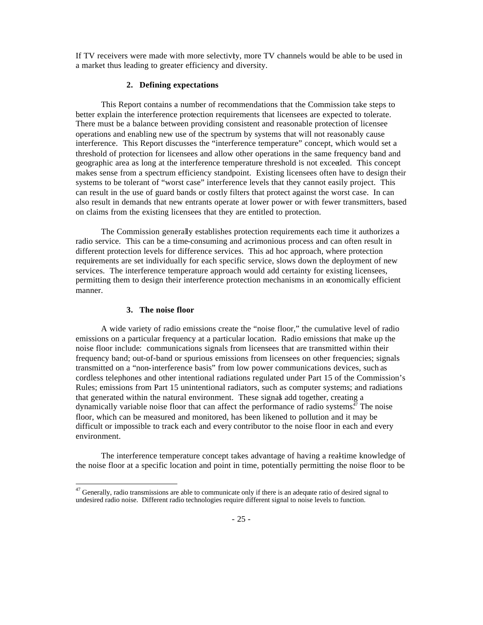If TV receivers were made with more selectivity, more TV channels would be able to be used in a market thus leading to greater efficiency and diversity.

#### **2. Defining expectations**

This Report contains a number of recommendations that the Commission take steps to better explain the interference protection requirements that licensees are expected to tolerate. There must be a balance between providing consistent and reasonable protection of licensee operations and enabling new use of the spectrum by systems that will not reasonably cause interference. This Report discusses the "interference temperature" concept, which would set a threshold of protection for licensees and allow other operations in the same frequency band and geographic area as long at the interference temperature threshold is not exceeded. This concept makes sense from a spectrum efficiency standpoint. Existing licensees often have to design their systems to be tolerant of "worst case" interference levels that they cannot easily project. This can result in the use of guard bands or costly filters that protect against the worst case. In can also result in demands that new entrants operate at lower power or with fewer transmitters, based on claims from the existing licensees that they are entitled to protection.

The Commission generally establishes protection requirements each time it authorizes a radio service. This can be a time-consuming and acrimonious process and can often result in different protection levels for difference services. This ad hoc approach, where protection requirements are set individually for each specific service, slows down the deployment of new services. The interference temperature approach would add certainty for existing licensees, permitting them to design their interference protection mechanisms in an economically efficient manner.

#### **3. The noise floor**

 $\overline{a}$ 

A wide variety of radio emissions create the "noise floor," the cumulative level of radio emissions on a particular frequency at a particular location. Radio emissions that make up the noise floor include: communications signals from licensees that are transmitted within their frequency band; out-of-band or spurious emissions from licensees on other frequencies; signals transmitted on a "non-interference basis" from low power communications devices, such as cordless telephones and other intentional radiations regulated under Part 15 of the Commission's Rules; emissions from Part 15 unintentional radiators, such as computer systems; and radiations that generated within the natural environment. These signals add together, creating a dynamically variable noise floor that can affect the performance of radio systems.<sup> $47$ </sup> The noise floor, which can be measured and monitored, has been likened to pollution and it may be difficult or impossible to track each and every contributor to the noise floor in each and every environment.

The interference temperature concept takes advantage of having a real-time knowledge of the noise floor at a specific location and point in time, potentially permitting the noise floor to be

 $47$  Generally, radio transmissions are able to communicate only if there is an adequate ratio of desired signal to undesired radio noise. Different radio technologies require different signal to noise levels to function.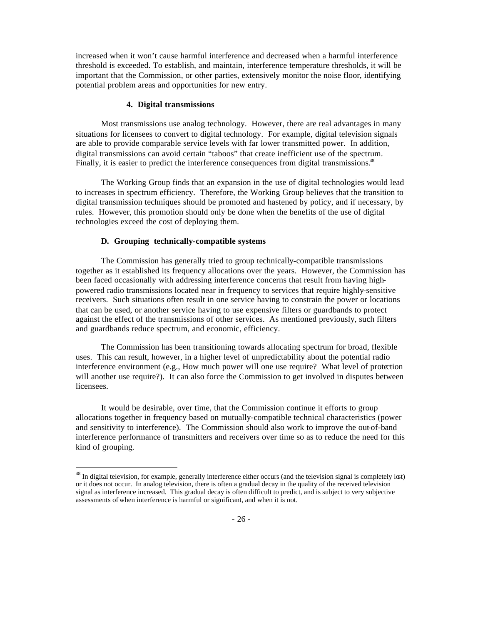increased when it won't cause harmful interference and decreased when a harmful interference threshold is exceeded. To establish, and maintain, interference temperature thresholds, it will be important that the Commission, or other parties, extensively monitor the noise floor, identifying potential problem areas and opportunities for new entry.

#### **4. Digital transmissions**

Most transmissions use analog technology. However, there are real advantages in many situations for licensees to convert to digital technology. For example, digital television signals are able to provide comparable service levels with far lower transmitted power. In addition, digital transmissions can avoid certain "taboos" that create inefficient use of the spectrum. Finally, it is easier to predict the interference consequences from digital transmissions.<sup>48</sup>

The Working Group finds that an expansion in the use of digital technologies would lead to increases in spectrum efficiency. Therefore, the Working Group believes that the transition to digital transmission techniques should be promoted and hastened by policy, and if necessary, by rules. However, this promotion should only be done when the benefits of the use of digital technologies exceed the cost of deploying them.

#### **D. Grouping technically-compatible systems**

 $\overline{a}$ 

The Commission has generally tried to group technically-compatible transmissions together as it established its frequency allocations over the years. However, the Commission has been faced occasionally with addressing interference concerns that result from having highpowered radio transmissions located near in frequency to services that require highly-sensitive receivers. Such situations often result in one service having to constrain the power or locations that can be used, or another service having to use expensive filters or guardbands to protect against the effect of the transmissions of other services. As mentioned previously, such filters and guardbands reduce spectrum, and economic, efficiency.

The Commission has been transitioning towards allocating spectrum for broad, flexible uses. This can result, however, in a higher level of unpredictability about the potential radio interference environment (e.g., How much power will one use require? What level of protection will another use require?). It can also force the Commission to get involved in disputes between licensees.

It would be desirable, over time, that the Commission continue it efforts to group allocations together in frequency based on mutually-compatible technical characteristics (power and sensitivity to interference). The Commission should also work to improve the out-of-band interference performance of transmitters and receivers over time so as to reduce the need for this kind of grouping.

 $48$  In digital television, for example, generally interference either occurs (and the television signal is completely lost) or it does not occur. In analog television, there is often a gradual decay in the quality of the received television signal as interference increased. This gradual decay is often difficult to predict, and is subject to very subjective assessments of when interference is harmful or significant, and when it is not.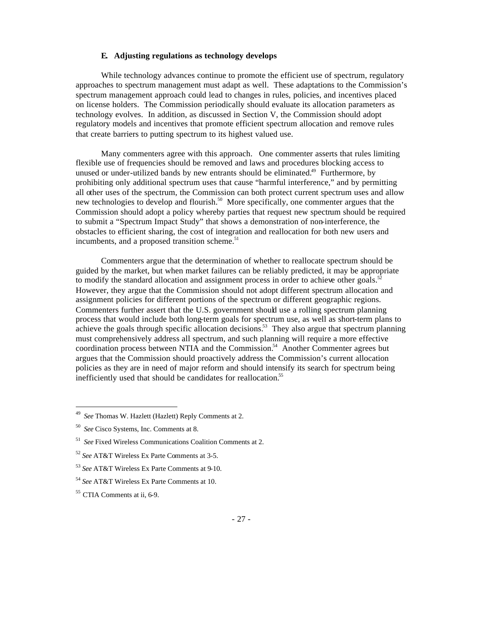# **E. Adjusting regulations as technology develops**

While technology advances continue to promote the efficient use of spectrum, regulatory approaches to spectrum management must adapt as well. These adaptations to the Commission's spectrum management approach could lead to changes in rules, policies, and incentives placed on license holders. The Commission periodically should evaluate its allocation parameters as technology evolves. In addition, as discussed in Section V, the Commission should adopt regulatory models and incentives that promote efficient spectrum allocation and remove rules that create barriers to putting spectrum to its highest valued use.

Many commenters agree with this approach.One commenter asserts that rules limiting flexible use of frequencies should be removed and laws and procedures blocking access to unused or under-utilized bands by new entrants should be eliminated.<sup>49</sup> Furthermore, by prohibiting only additional spectrum uses that cause "harmful interference," and by permitting all other uses of the spectrum, the Commission can both protect current spectrum uses and allow new technologies to develop and flourish.<sup>50</sup> More specifically, one commenter argues that the Commission should adopt a policy whereby parties that request new spectrum should be required to submit a "Spectrum Impact Study" that shows a demonstration of non-interference, the obstacles to efficient sharing, the cost of integration and reallocation for both new users and incumbents, and a proposed transition scheme.<sup>51</sup>

Commenters argue that the determination of whether to reallocate spectrum should be guided by the market, but when market failures can be reliably predicted, it may be appropriate to modify the standard allocation and assignment process in order to achieve other goals. $52$ However, they argue that the Commission should not adopt different spectrum allocation and assignment policies for different portions of the spectrum or different geographic regions. Commenters further assert that the U.S. government should use a rolling spectrum planning process that would include both long-term goals for spectrum use, as well as short-term plans to achieve the goals through specific allocation decisions.<sup>53</sup> They also argue that spectrum planning must comprehensively address all spectrum, and such planning will require a more effective coordination process between NTIA and the Commission.<sup>54</sup> Another Commenter agrees but argues that the Commission should proactively address the Commission's current allocation policies as they are in need of major reform and should intensify its search for spectrum being inefficiently used that should be candidates for reallocation.<sup>55</sup>

<sup>49</sup> *See* Thomas W. Hazlett (Hazlett) Reply Comments at 2.

<sup>50</sup> *See* Cisco Systems, Inc. Comments at 8.

<sup>51</sup> *See* Fixed Wireless Communications Coalition Comments at 2.

<sup>52</sup> *See* AT&T Wireless Ex Parte Comments at 3-5.

<sup>53</sup> *See* AT&T Wireless Ex Parte Comments at 9-10.

<sup>54</sup> *See* AT&T Wireless Ex Parte Comments at 10.

<sup>55</sup> CTIA Comments at ii, 6-9.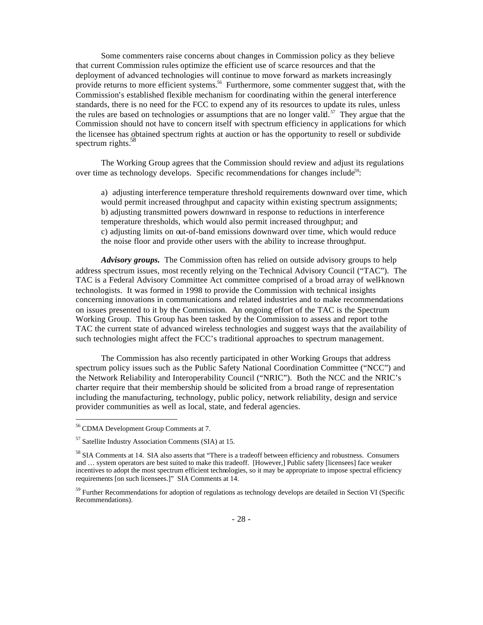Some commenters raise concerns about changes in Commission policy as they believe that current Commission rules optimize the efficient use of scarce resources and that the deployment of advanced technologies will continue to move forward as markets increasingly provide returns to more efficient systems.<sup>56</sup> Furthermore, some commenter suggest that, with the Commission's established flexible mechanism for coordinating within the general interference standards, there is no need for the FCC to expend any of its resources to update its rules, unless the rules are based on technologies or assumptions that are no longer valid.<sup>57</sup> They argue that the Commission should not have to concern itself with spectrum efficiency in applications for which the licensee has obtained spectrum rights at auction or has the opportunity to resell or subdivide spectrum rights. $58$ 

The Working Group agrees that the Commission should review and adjust its regulations over time as technology develops. Specific recommendations for changes include<sup>59</sup>:

a) adjusting interference temperature threshold requirements downward over time, which would permit increased throughput and capacity within existing spectrum assignments; b) adjusting transmitted powers downward in response to reductions in interference temperature thresholds, which would also permit increased throughput; and c) adjusting limits on out-of-band emissions downward over time, which would reduce the noise floor and provide other users with the ability to increase throughput.

*Advisory groups.* The Commission often has relied on outside advisory groups to help address spectrum issues, most recently relying on the Technical Advisory Council ("TAC"). The TAC is a Federal Advisory Committee Act committee comprised of a broad array of well-known technologists. It was formed in 1998 to provide the Commission with technical insights concerning innovations in communications and related industries and to make recommendations on issues presented to it by the Commission. An ongoing effort of the TAC is the Spectrum Working Group. This Group has been tasked by the Commission to assess and report to the TAC the current state of advanced wireless technologies and suggest ways that the availability of such technologies might affect the FCC's traditional approaches to spectrum management.

The Commission has also recently participated in other Working Groups that address spectrum policy issues such as the Public Safety National Coordination Committee ("NCC") and the Network Reliability and Interoperability Council ("NRIC"). Both the NCC and the NRIC's charter require that their membership should be solicited from a broad range of representation including the manufacturing, technology, public policy, network reliability, design and service provider communities as well as local, state, and federal agencies.

<sup>56</sup> CDMA Development Group Comments at 7.

<sup>57</sup> Satellite Industry Association Comments (SIA) at 15.

<sup>&</sup>lt;sup>58</sup> SIA Comments at 14. SIA also asserts that "There is a tradeoff between efficiency and robustness. Consumers and … system operators are best suited to make this tradeoff. [However,] Public safety [licensees] face weaker incentives to adopt the most spectrum efficient technologies, so it may be appropriate to impose spectral efficiency requirements [on such licensees.]" SIA Comments at 14.

<sup>&</sup>lt;sup>59</sup> Further Recommendations for adoption of regulations as technology develops are detailed in Section VI (Specific Recommendations).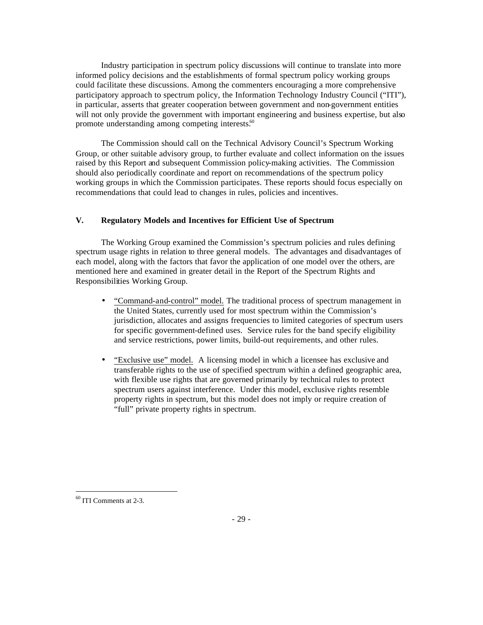Industry participation in spectrum policy discussions will continue to translate into more informed policy decisions and the establishments of formal spectrum policy working groups could facilitate these discussions. Among the commenters encouraging a more comprehensive participatory approach to spectrum policy, the Information Technology Industry Council ("ITI"), in particular, asserts that greater cooperation between government and non-government entities will not only provide the government with important engineering and business expertise, but also promote understanding among competing interests.<sup>60</sup>

The Commission should call on the Technical Advisory Council's Spectrum Working Group, or other suitable advisory group, to further evaluate and collect information on the issues raised by this Report and subsequent Commission policy-making activities. The Commission should also periodically coordinate and report on recommendations of the spectrum policy working groups in which the Commission participates. These reports should focus especially on recommendations that could lead to changes in rules, policies and incentives.

# **V. Regulatory Models and Incentives for Efficient Use of Spectrum**

The Working Group examined the Commission's spectrum policies and rules defining spectrum usage rights in relation to three general models. The advantages and disadvantages of each model, along with the factors that favor the application of one model over the others, are mentioned here and examined in greater detail in the Report of the Spectrum Rights and Responsibilities Working Group.

- "Command-and-control" model. The traditional process of spectrum management in the United States, currently used for most spectrum within the Commission's jurisdiction, allocates and assigns frequencies to limited categories of spectrum users for specific government-defined uses. Service rules for the band specify eligibility and service restrictions, power limits, build-out requirements, and other rules.
- "Exclusive use" model. A licensing model in which a licensee has exclusive and transferable rights to the use of specified spectrum within a defined geographic area, with flexible use rights that are governed primarily by technical rules to protect spectrum users against interference. Under this model, exclusive rights resemble property rights in spectrum, but this model does not imply or require creation of "full" private property rights in spectrum.

<sup>60</sup> ITI Comments at 2-3.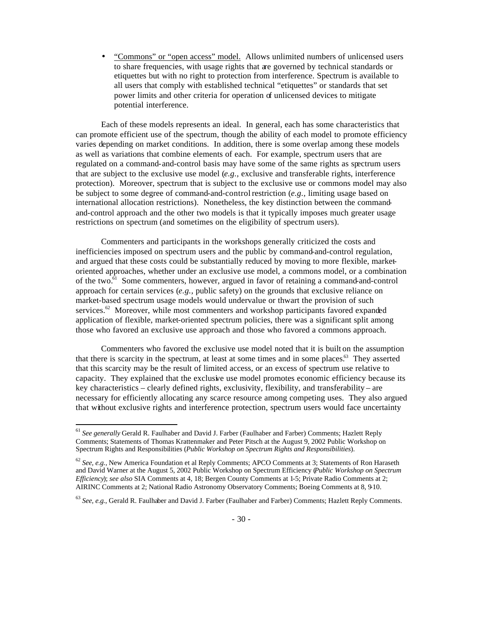• "Commons" or "open access" model. Allows unlimited numbers of unlicensed users to share frequencies, with usage rights that are governed by technical standards or etiquettes but with no right to protection from interference. Spectrum is available to all users that comply with established technical "etiquettes" or standards that set power limits and other criteria for operation of unlicensed devices to mitigate potential interference.

Each of these models represents an ideal. In general, each has some characteristics that can promote efficient use of the spectrum, though the ability of each model to promote efficiency varies depending on market conditions. In addition, there is some overlap among these models as well as variations that combine elements of each. For example, spectrum users that are regulated on a command-and-control basis may have some of the same rights as spectrum users that are subject to the exclusive use model (*e.g.,* exclusive and transferable rights, interference protection). Moreover, spectrum that is subject to the exclusive use or commons model may also be subject to some degree of command-and-control restriction (*e.g.,* limiting usage based on international allocation restrictions). Nonetheless, the key distinction between the commandand-control approach and the other two models is that it typically imposes much greater usage restrictions on spectrum (and sometimes on the eligibility of spectrum users).

Commenters and participants in the workshops generally criticized the costs and inefficiencies imposed on spectrum users and the public by command-and-control regulation, and argued that these costs could be substantially reduced by moving to more flexible, marketoriented approaches, whether under an exclusive use model, a commons model, or a combination of the two.<sup>61</sup> Some commenters, however, argued in favor of retaining a command-and-control approach for certain services (*e.g.,* public safety) on the grounds that exclusive reliance on market-based spectrum usage models would undervalue or thwart the provision of such services. $62$  Moreover, while most commenters and workshop participants favored expanded application of flexible, market-oriented spectrum policies, there was a significant split among those who favored an exclusive use approach and those who favored a commons approach.

Commenters who favored the exclusive use model noted that it is built on the assumption that there is scarcity in the spectrum, at least at some times and in some places.<sup>63</sup> They asserted that this scarcity may be the result of limited access, or an excess of spectrum use relative to capacity. They explained that the exclusive use model promotes economic efficiency because its key characteristics – clearly defined rights, exclusivity, flexibility, and transferability – are necessary for efficiently allocating any scarce resource among competing uses. They also argued that without exclusive rights and interference protection, spectrum users would face uncertainty

<sup>61</sup> *See generally* Gerald R. Faulhaber and David J. Farber (Faulhaber and Farber) Comments; Hazlett Reply Comments; Statements of Thomas Krattenmaker and Peter Pitsch at the August 9, 2002 Public Workshop on Spectrum Rights and Responsibilities (*Public Workshop on Spectrum Rights and Responsibilities*).

<sup>62</sup> *See, e.g.,* New America Foundation et al Reply Comments; APCO Comments at 3; Statements of Ron Haraseth and David Warner at the August 5, 2002 Public Workshop on Spectrum Efficiency (*Public Workshop on Spectrum Efficiency*); *see also* SIA Comments at 4, 18; Bergen County Comments at 1-5; Private Radio Comments at 2; AIRINC Comments at 2; National Radio Astronomy Observatory Comments; Boeing Comments at 8, 9-10.

<sup>63</sup> *See, e.g.*, Gerald R. Faulhaber and David J. Farber (Faulhaber and Farber) Comments; Hazlett Reply Comments.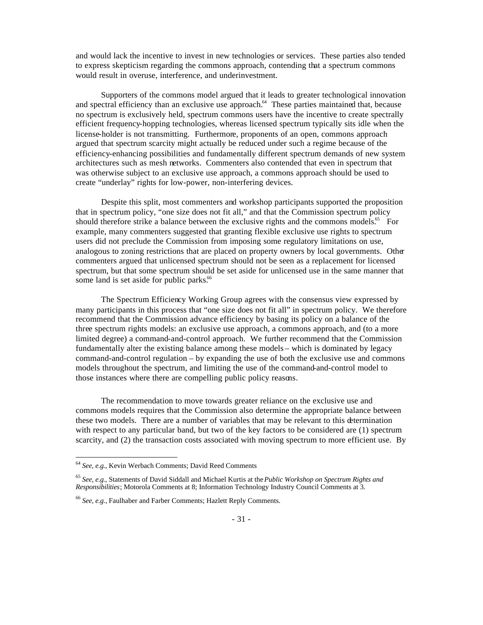and would lack the incentive to invest in new technologies or services. These parties also tended to express skepticism regarding the commons approach, contending that a spectrum commons would result in overuse, interference, and underinvestment.

Supporters of the commons model argued that it leads to greater technological innovation and spectral efficiency than an exclusive use approach.<sup>64</sup> These parties maintained that, because no spectrum is exclusively held, spectrum commons users have the incentive to create spectrally efficient frequency-hopping technologies, whereas licensed spectrum typically sits idle when the license-holder is not transmitting. Furthermore, proponents of an open, commons approach argued that spectrum scarcity might actually be reduced under such a regime because of the efficiency-enhancing possibilities and fundamentally different spectrum demands of new system architectures such as mesh networks. Commenters also contended that even in spectrum that was otherwise subject to an exclusive use approach, a commons approach should be used to create "underlay" rights for low-power, non-interfering devices.

Despite this split, most commenters and workshop participants supported the proposition that in spectrum policy, "one size does not fit all," and that the Commission spectrum policy should therefore strike a balance between the exclusive rights and the commons models.<sup>65</sup> For example, many commenters suggested that granting flexible exclusive use rights to spectrum users did not preclude the Commission from imposing some regulatory limitations on use, analogous to zoning restrictions that are placed on property owners by local governments. Other commenters argued that unlicensed spectrum should not be seen as a replacement for licensed spectrum, but that some spectrum should be set aside for unlicensed use in the same manner that some land is set aside for public parks.<sup>66</sup>

The Spectrum Efficiency Working Group agrees with the consensus view expressed by many participants in this process that "one size does not fit all" in spectrum policy. We therefore recommend that the Commission advance efficiency by basing its policy on a balance of the three spectrum rights models: an exclusive use approach, a commons approach, and (to a more limited degree) a command-and-control approach. We further recommend that the Commission fundamentally alter the existing balance among these models – which is dominated by legacy command-and-control regulation – by expanding the use of both the exclusive use and commons models throughout the spectrum, and limiting the use of the command-and-control model to those instances where there are compelling public policy reasons.

The recommendation to move towards greater reliance on the exclusive use and commons models requires that the Commission also determine the appropriate balance between these two models. There are a number of variables that may be relevant to this determination with respect to any particular band, but two of the key factors to be considered are (1) spectrum scarcity, and (2) the transaction costs associated with moving spectrum to more efficient use. By

<sup>64</sup> *See, e.g.*, Kevin Werbach Comments; David Reed Comments

<sup>65</sup> *See, e.g.*, Statements of David Siddall and Michael Kurtis at the *Public Workshop on Spectrum Rights and Responsibilities*; Motorola Comments at 8; Information Technology Industry Council Comments at 3.

<sup>66</sup> *See, e.g.,* Faulhaber and Farber Comments; Hazlett Reply Comments.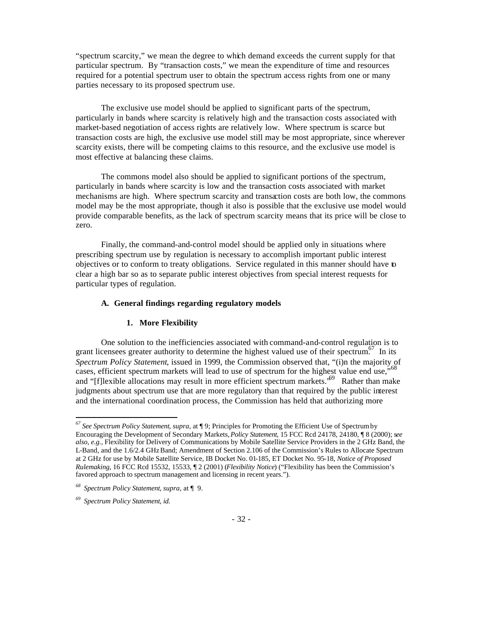"spectrum scarcity," we mean the degree to which demand exceeds the current supply for that particular spectrum. By "transaction costs," we mean the expenditure of time and resources required for a potential spectrum user to obtain the spectrum access rights from one or many parties necessary to its proposed spectrum use.

The exclusive use model should be applied to significant parts of the spectrum, particularly in bands where scarcity is relatively high and the transaction costs associated with market-based negotiation of access rights are relatively low. Where spectrum is scarce but transaction costs are high, the exclusive use model still may be most appropriate, since wherever scarcity exists, there will be competing claims to this resource, and the exclusive use model is most effective at balancing these claims.

The commons model also should be applied to significant portions of the spectrum, particularly in bands where scarcity is low and the transaction costs associated with market mechanisms are high. Where spectrum scarcity and transaction costs are both low, the commons model may be the most appropriate, though it also is possible that the exclusive use model would provide comparable benefits, as the lack of spectrum scarcity means that its price will be close to zero.

Finally, the command-and-control model should be applied only in situations where prescribing spectrum use by regulation is necessary to accomplish important public interest objectives or to conform to treaty obligations. Service regulated in this manner should have to clear a high bar so as to separate public interest objectives from special interest requests for particular types of regulation.

#### **A. General findings regarding regulatory models**

#### **1. More Flexibility**

One solution to the inefficiencies associated with command-and-control regulation is to grant licensees greater authority to determine the highest valued use of their spectrum.<sup>67</sup> In its *Spectrum Policy Statement*, issued in 1999, the Commission observed that, "(i)n the majority of cases, efficient spectrum markets will lead to use of spectrum for the highest value end use,"<sup>68</sup> and "[f]lexible allocations may result in more efficient spectrum markets.<sup>59</sup> Rather than make judgments about spectrum use that are more regulatory than that required by the public interest and the international coordination process, the Commission has held that authorizing more

*<sup>67</sup> See Spectrum Policy Statement*, *supra,* at ¶ 9; Principles for Promoting the Efficient Use of Spectrum by Encouraging the Development of Secondary Markets, *Policy Statement*, 15 FCC Rcd 24178, 24180, ¶ 8 (2000); s*ee also, e.g.,* Flexibility for Delivery of Communications by Mobile Satellite Service Providers in the 2 GHz Band, the L-Band, and the 1.6/2.4 GHz Band; Amendment of Section 2.106 of the Commission's Rules to Allocate Spectrum at 2 GHz for use by Mobile Satellite Service, IB Docket No. 01-185, ET Docket No. 95-18, *Notice of Proposed Rulemaking*, 16 FCC Rcd 15532, 15533, ¶ 2 (2001) (*Flexibility Notice*) ("Flexibility has been the Commission's favored approach to spectrum management and licensing in recent years.").

*<sup>68</sup> Spectrum Policy Statement*, *supra*, at ¶ 9.

*<sup>69</sup> Spectrum Policy Statement*, *id.*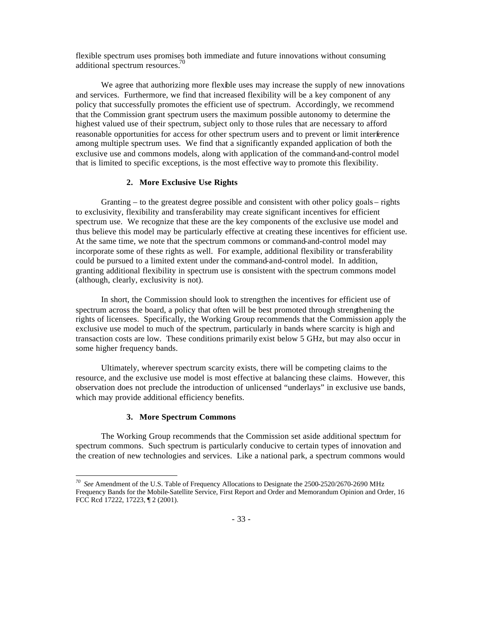flexible spectrum uses promises both immediate and future innovations without consuming additional spectrum resources.<sup>70</sup>

We agree that authorizing more flexible uses may increase the supply of new innovations and services. Furthermore, we find that increased flexibility will be a key component of any policy that successfully promotes the efficient use of spectrum. Accordingly, we recommend that the Commission grant spectrum users the maximum possible autonomy to determine the highest valued use of their spectrum, subject only to those rules that are necessary to afford reasonable opportunities for access for other spectrum users and to prevent or limit interference among multiple spectrum uses. We find that a significantly expanded application of both the exclusive use and commons models, along with application of the command-and-control model that is limited to specific exceptions, is the most effective way to promote this flexibility.

#### **2. More Exclusive Use Rights**

Granting – to the greatest degree possible and consistent with other policy goals – rights to exclusivity, flexibility and transferability may create significant incentives for efficient spectrum use. We recognize that these are the key components of the exclusive use model and thus believe this model may be particularly effective at creating these incentives for efficient use. At the same time, we note that the spectrum commons or command-and-control model may incorporate some of these rights as well. For example, additional flexibility or transferability could be pursued to a limited extent under the command-and-control model. In addition, granting additional flexibility in spectrum use is consistent with the spectrum commons model (although, clearly, exclusivity is not).

In short, the Commission should look to strengthen the incentives for efficient use of spectrum across the board, a policy that often will be best promoted through strengthening the rights of licensees. Specifically, the Working Group recommends that the Commission apply the exclusive use model to much of the spectrum, particularly in bands where scarcity is high and transaction costs are low. These conditions primarily exist below 5 GHz, but may also occur in some higher frequency bands.

Ultimately, wherever spectrum scarcity exists, there will be competing claims to the resource, and the exclusive use model is most effective at balancing these claims. However, this observation does not preclude the introduction of unlicensed "underlays" in exclusive use bands, which may provide additional efficiency benefits.

#### **3. More Spectrum Commons**

The Working Group recommends that the Commission set aside additional spectrum for spectrum commons. Such spectrum is particularly conducive to certain types of innovation and the creation of new technologies and services. Like a national park, a spectrum commons would

 *70 See* Amendment of the U.S. Table of Frequency Allocations to Designate the 2500-2520/2670-2690 MHz Frequency Bands for the Mobile-Satellite Service, First Report and Order and Memorandum Opinion and Order, 16 FCC Rcd 17222, 17223, ¶ 2 (2001).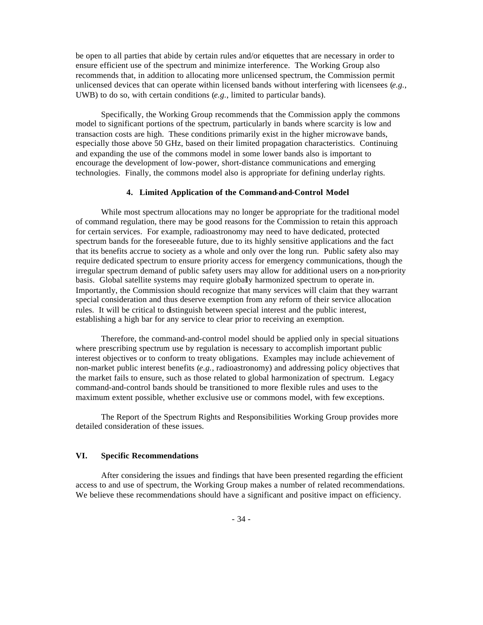be open to all parties that abide by certain rules and/or etiquettes that are necessary in order to ensure efficient use of the spectrum and minimize interference. The Working Group also recommends that, in addition to allocating more unlicensed spectrum, the Commission permit unlicensed devices that can operate within licensed bands without interfering with licensees (*e.g.*, UWB) to do so, with certain conditions (*e.g.*, limited to particular bands).

Specifically, the Working Group recommends that the Commission apply the commons model to significant portions of the spectrum, particularly in bands where scarcity is low and transaction costs are high. These conditions primarily exist in the higher microwave bands, especially those above 50 GHz, based on their limited propagation characteristics. Continuing and expanding the use of the commons model in some lower bands also is important to encourage the development of low-power, short-distance communications and emerging technologies. Finally, the commons model also is appropriate for defining underlay rights.

#### **4. Limited Application of the Command-and-Control Model**

While most spectrum allocations may no longer be appropriate for the traditional model of command regulation, there may be good reasons for the Commission to retain this approach for certain services. For example, radioastronomy may need to have dedicated, protected spectrum bands for the foreseeable future, due to its highly sensitive applications and the fact that its benefits accrue to society as a whole and only over the long run. Public safety also may require dedicated spectrum to ensure priority access for emergency communications, though the irregular spectrum demand of public safety users may allow for additional users on a non-priority basis. Global satellite systems may require globally harmonized spectrum to operate in. Importantly, the Commission should recognize that many services will claim that they warrant special consideration and thus deserve exemption from any reform of their service allocation rules. It will be critical to distinguish between special interest and the public interest, establishing a high bar for any service to clear prior to receiving an exemption.

Therefore, the command-and-control model should be applied only in special situations where prescribing spectrum use by regulation is necessary to accomplish important public interest objectives or to conform to treaty obligations. Examples may include achievement of non-market public interest benefits (*e.g.,* radioastronomy) and addressing policy objectives that the market fails to ensure, such as those related to global harmonization of spectrum. Legacy command-and-control bands should be transitioned to more flexible rules and uses to the maximum extent possible, whether exclusive use or commons model, with few exceptions.

The Report of the Spectrum Rights and Responsibilities Working Group provides more detailed consideration of these issues.

# **VI. Specific Recommendations**

After considering the issues and findings that have been presented regarding the efficient access to and use of spectrum, the Working Group makes a number of related recommendations. We believe these recommendations should have a significant and positive impact on efficiency.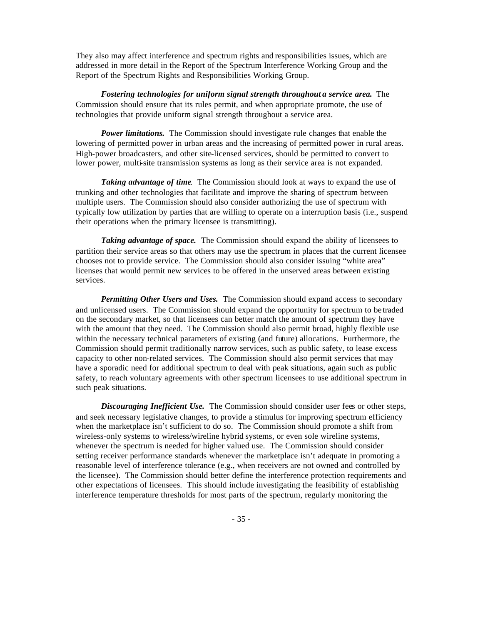They also may affect interference and spectrum rights and responsibilities issues, which are addressed in more detail in the Report of the Spectrum Interference Working Group and the Report of the Spectrum Rights and Responsibilities Working Group.

*Fostering technologies for uniform signal strength throughout a service area.* The Commission should ensure that its rules permit, and when appropriate promote, the use of technologies that provide uniform signal strength throughout a service area.

*Power limitations.* The Commission should investigate rule changes that enable the lowering of permitted power in urban areas and the increasing of permitted power in rural areas. High-power broadcasters, and other site-licensed services, should be permitted to convert to lower power, multi-site transmission systems as long as their service area is not expanded.

*Taking advantage of time*. The Commission should look at ways to expand the use of trunking and other technologies that facilitate and improve the sharing of spectrum between multiple users. The Commission should also consider authorizing the use of spectrum with typically low utilization by parties that are willing to operate on a interruption basis (i.e., suspend their operations when the primary licensee is transmitting).

*Taking advantage of space.* The Commission should expand the ability of licensees to partition their service areas so that others may use the spectrum in places that the current licensee chooses not to provide service. The Commission should also consider issuing "white area" licenses that would permit new services to be offered in the unserved areas between existing services.

*Permitting Other Users and Uses.* The Commission should expand access to secondary and unlicensed users. The Commission should expand the opportunity for spectrum to be traded on the secondary market, so that licensees can better match the amount of spectrum they have with the amount that they need. The Commission should also permit broad, highly flexible use within the necessary technical parameters of existing (and future) allocations. Furthermore, the Commission should permit traditionally narrow services, such as public safety, to lease excess capacity to other non-related services. The Commission should also permit services that may have a sporadic need for additional spectrum to deal with peak situations, again such as public safety, to reach voluntary agreements with other spectrum licensees to use additional spectrum in such peak situations.

*Discouraging Inefficient Use.* The Commission should consider user fees or other steps, and seek necessary legislative changes, to provide a stimulus for improving spectrum efficiency when the marketplace isn't sufficient to do so. The Commission should promote a shift from wireless-only systems to wireless/wireline hybrid systems, or even sole wireline systems, whenever the spectrum is needed for higher valued use. The Commission should consider setting receiver performance standards whenever the marketplace isn't adequate in promoting a reasonable level of interference tolerance (e.g., when receivers are not owned and controlled by the licensee). The Commission should better define the interference protection requirements and other expectations of licensees. This should include investigating the feasibility of establishing interference temperature thresholds for most parts of the spectrum, regularly monitoring the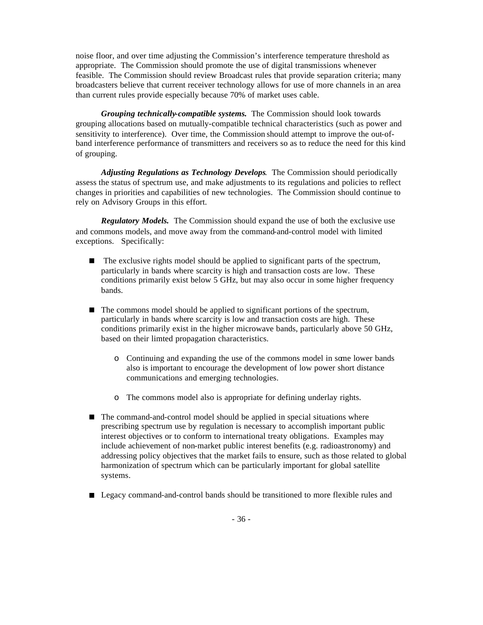noise floor, and over time adjusting the Commission's interference temperature threshold as appropriate. The Commission should promote the use of digital transmissions whenever feasible. The Commission should review Broadcast rules that provide separation criteria; many broadcasters believe that current receiver technology allows for use of more channels in an area than current rules provide especially because 70% of market uses cable.

*Grouping technically-compatible systems.* The Commission should look towards grouping allocations based on mutually-compatible technical characteristics (such as power and sensitivity to interference). Over time, the Commission should attempt to improve the out-ofband interference performance of transmitters and receivers so as to reduce the need for this kind of grouping.

*Adjusting Regulations as Technology Develops*. The Commission should periodically assess the status of spectrum use, and make adjustments to its regulations and policies to reflect changes in priorities and capabilities of new technologies. The Commission should continue to rely on Advisory Groups in this effort.

*Regulatory Models.* The Commission should expand the use of both the exclusive use and commons models, and move away from the command-and-control model with limited exceptions. Specifically:

- $\blacksquare$  The exclusive rights model should be applied to significant parts of the spectrum, particularly in bands where scarcity is high and transaction costs are low. These conditions primarily exist below 5 GHz, but may also occur in some higher frequency bands.
- $\blacksquare$  The commons model should be applied to significant portions of the spectrum, particularly in bands where scarcity is low and transaction costs are high. These conditions primarily exist in the higher microwave bands, particularly above 50 GHz, based on their limted propagation characteristics.
	- o Continuing and expanding the use of the commons model in some lower bands also is important to encourage the development of low power short distance communications and emerging technologies.
	- o The commons model also is appropriate for defining underlay rights.
- The command-and-control model should be applied in special situations where prescribing spectrum use by regulation is necessary to accomplish important public interest objectives or to conform to international treaty obligations. Examples may include achievement of non-market public interest benefits (e.g. radioastronomy) and addressing policy objectives that the market fails to ensure, such as those related to global harmonization of spectrum which can be particularly important for global satellite systems.
- Legacy command-and-control bands should be transitioned to more flexible rules and